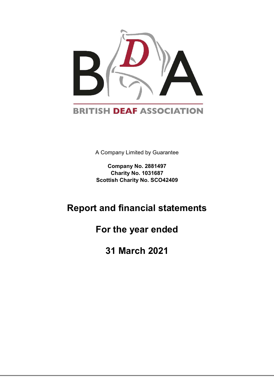

A Company Limited by Guarantee

**Company No. 2881497 Charity No. 1031687 Scottish Charity No. SCO42409**

# **Report and financial statements**

**For the year ended** 

**31 March 2021**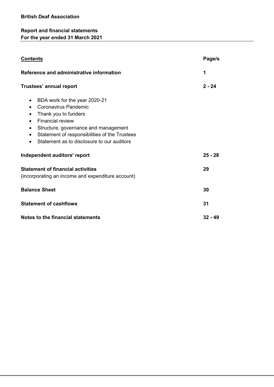## **Report and financial statements For the year ended 31 March 2021**

| <b>Contents</b>                                                                                                                                                                                                                                                                                           | Page/s    |
|-----------------------------------------------------------------------------------------------------------------------------------------------------------------------------------------------------------------------------------------------------------------------------------------------------------|-----------|
| Reference and administrative information                                                                                                                                                                                                                                                                  | 1         |
| Trustees' annual report                                                                                                                                                                                                                                                                                   | $2 - 24$  |
| BDA work for the year 2020-21<br>$\bullet$<br>Coronavirus Pandemic<br>Thank you to funders<br>$\bullet$<br>Financial review<br>$\bullet$<br>Structure, governance and management<br>$\bullet$<br>Statement of responsibilities of the Trustees<br>$\bullet$<br>Statement as to disclosure to our auditors |           |
| Independent auditors' report                                                                                                                                                                                                                                                                              | $25 - 28$ |
| <b>Statement of financial activities</b><br>(incorporating an income and expenditure account)                                                                                                                                                                                                             | 29        |
| <b>Balance Sheet</b>                                                                                                                                                                                                                                                                                      | 30        |
| <b>Statement of cashflows</b>                                                                                                                                                                                                                                                                             | 31        |
| <b>Notes to the financial statements</b>                                                                                                                                                                                                                                                                  | $32 - 49$ |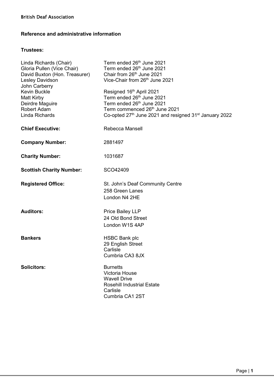## **Reference and administrative information**

## **Trustees:**

| Linda Richards (Chair)<br>Gloria Pullen (Vice Chair)<br>David Buxton (Hon. Treasurer)<br>Lesley Davidson<br>John Carberry | Term ended 26th June 2021<br>Term ended 26 <sup>th</sup> June 2021<br>Chair from 26th June 2021<br>Vice-Chair from 26 <sup>th</sup> June 2021                                                                     |
|---------------------------------------------------------------------------------------------------------------------------|-------------------------------------------------------------------------------------------------------------------------------------------------------------------------------------------------------------------|
| <b>Kevin Buckle</b><br><b>Matt Kirby</b><br>Deirdre Maguire<br><b>Robert Adam</b><br>Linda Richards                       | Resigned 16th April 2021<br>Term ended 26th June 2021<br>Term ended 26 <sup>th</sup> June 2021<br>Term commenced 26th June 2021<br>Co-opted 27 <sup>th</sup> June 2021 and resigned 31 <sup>st</sup> January 2022 |
| <b>Chief Executive:</b>                                                                                                   | Rebecca Mansell                                                                                                                                                                                                   |
| <b>Company Number:</b>                                                                                                    | 2881497                                                                                                                                                                                                           |
| <b>Charity Number:</b>                                                                                                    | 1031687                                                                                                                                                                                                           |
| <b>Scottish Charity Number:</b>                                                                                           | SCO42409                                                                                                                                                                                                          |
| <b>Registered Office:</b>                                                                                                 | St. John's Deaf Community Centre<br>258 Green Lanes<br>London N4 2HE                                                                                                                                              |
| <b>Auditors:</b>                                                                                                          | <b>Price Bailey LLP</b><br>24 Old Bond Street<br>London W1S 4AP                                                                                                                                                   |
| <b>Bankers</b>                                                                                                            | <b>HSBC Bank plc</b><br>29 English Street<br>Carlisle<br>Cumbria CA3 8JX                                                                                                                                          |
| <b>Solicitors:</b>                                                                                                        | <b>Burnetts</b><br>Victoria House<br><b>Wavell Drive</b><br><b>Rosehill Industrial Estate</b><br>Carlisle<br>Cumbria CA1 2ST                                                                                      |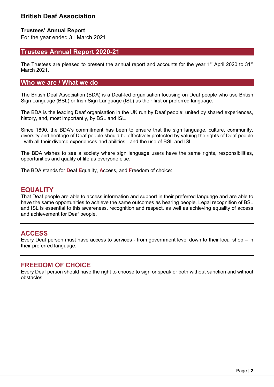### **Trustees' Annual Report**

For the year ended 31 March 2021

## **Trustees Annual Report 2020-21**

The Trustees are pleased to present the annual report and accounts for the year 1<sup>st</sup> April 2020 to 31<sup>st</sup> March 2021.

### **Who we are / What we do**

The British Deaf Association (BDA) is a Deaf-led organisation focusing on Deaf people who use British Sign Language (BSL) or Irish Sign Language (ISL) as their first or preferred language.

The BDA is the leading Deaf organisation in the UK run by Deaf people; united by shared experiences, history, and, most importantly, by BSL and ISL.

Since 1890, the BDA's commitment has been to ensure that the sign language, culture, community, diversity and heritage of Deaf people should be effectively protected by valuing the rights of Deaf people - with all their diverse experiences and abilities - and the use of BSL and ISL.

The BDA wishes to see a society where sign language users have the same rights, responsibilities, opportunities and quality of life as everyone else.

The BDA stands for **D**eaf **E**quality, **A**ccess, and **F**reedom of choice:

## **EQUALITY**

That Deaf people are able to access information and support in their preferred language and are able to have the same opportunities to achieve the same outcomes as hearing people. Legal recognition of BSL and ISL is essential to this awareness, recognition and respect, as well as achieving equality of access and achievement for Deaf people.

## **ACCESS**

Every Deaf person must have access to services - from government level down to their local shop – in their preferred language.

## **FREEDOM OF CHOICE**

Every Deaf person should have the right to choose to sign or speak or both without sanction and without obstacles.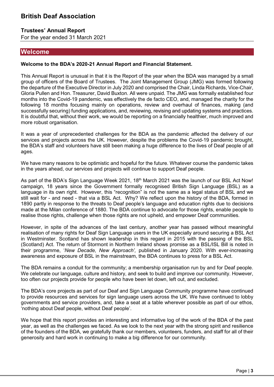### **Trustees' Annual Report**

For the year ended 31 March 2021

## **Welcome**

### **Welcome to the BDA's 2020-21 Annual Report and Financial Statement.**

This Annual Report is unusual in that it is the Report of the year when the BDA was managed by a small group of officers of the Board of Trustees. The Joint Management Group (JMG) was formed following the departure of the Executive Director in July 2020 and comprised the Chair, Linda Richards, Vice-Chair, Gloria Pullen and Hon. Treasurer, David Buxton. All were unpaid. The JMG was formally established four months into the Covid-19 pandemic, was effectively the de facto CEO, and, managed the charity for the following 18 months focusing mainly on operations, review and overhaul of finances, making (and successfully securing) funding applications, and, reviewing, revising and updating systems and practices. It is doubtful that, without their work, we would be reporting on a financially healthier, much improved and more robust organisation.

It was a year of unprecedented challenges for the BDA as the pandemic affected the delivery of our services and projects across the UK. However, despite the problems the Covid-19 pandemic brought, the BDA's staff and volunteers have still been making a huge difference to the lives of Deaf people of all ages.

We have many reasons to be optimistic and hopeful for the future. Whatever course the pandemic takes in the years ahead, our services and projects will continue to support Deaf people.

As part of the BDA's Sign Language Week 2021, 18<sup>th</sup> March 2021 was the launch of our BSL Act Now! campaign, 18 years since the Government formally recognised British Sign Language (BSL) as a language in its own right. However, this "recognition" is not the same as a legal status of BSL and we still wait for - and need - that via a BSL Act. Why? We reflect upon the history of the BDA, formed in 1890 partly in response to the threats to Deaf people's language and education rights due to decisions made at the Milan conference of 1880. The BDA continue to advocate for those rights, enable people to realise those rights, challenge when those rights are not upheld, and empower Deaf communities.

However, in spite of the advances of the last century, another year has passed without meaningful realisation of many rights for Deaf Sign Language users in the UK especially around securing a BSL Act in Westminster. Scotland has shown leadership in this regard in 2015 with the passing of the BSL (Scotland) Act. The return of Stormont in Northern Ireland shows promise as a BSL/ISL Bill is noted in their programme, '*New Decade, New Approach',* published in January 2020. With ever-increasing awareness and exposure of BSL in the mainstream, the BDA continues to press for a BSL Act.

The BDA remains a conduit for the community; a membership organisation run by and for Deaf people. We celebrate our language, culture and history, and seek to build and improve our community. However, too often our projects provide for people who have been let down, left out, and excluded.

The BDA's core projects as part of our Deaf and Sign Language Community programme have continued to provide resources and services for sign language users across the UK. We have continued to lobby governments and service providers, and, take a seat at a table wherever possible as part of our ethos, 'nothing about Deaf people, without Deaf people'.

We hope that this report provides an interesting and informative log of the work of the BDA of the past year, as well as the challenges we faced. As we look to the next year with the strong spirit and resilience of the founders of the BDA, we gratefully thank our members, volunteers, funders, and staff for all of their generosity and hard work in continuing to make a big difference for our community.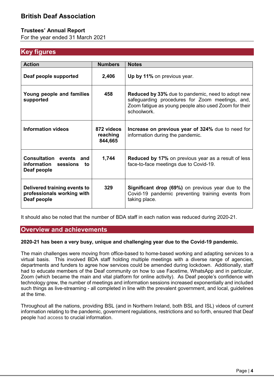## **Trustees' Annual Report**

For the year ended 31 March 2021

## **Key figures**

| <b>Action</b>                                                             | <b>Numbers</b>                    | <b>Notes</b>                                                                                                                                                                        |
|---------------------------------------------------------------------------|-----------------------------------|-------------------------------------------------------------------------------------------------------------------------------------------------------------------------------------|
| Deaf people supported                                                     | 2,406                             | Up by 11% on previous year.                                                                                                                                                         |
| Young people and families<br>supported                                    | 458                               | <b>Reduced by 33%</b> due to pandemic, need to adopt new<br>safeguarding procedures for Zoom meetings, and,<br>Zoom fatigue as young people also used Zoom for their<br>schoolwork. |
| <b>Information videos</b>                                                 | 872 videos<br>reaching<br>844,665 | Increase on previous year of 324% due to need for<br>information during the pandemic.                                                                                               |
| Consultation events and<br>information<br>sessions<br>to<br>Deaf people   | 1,744                             | <b>Reduced by 17%</b> on previous year as a result of less<br>face-to-face meetings due to Covid-19.                                                                                |
| Delivered training events to<br>professionals working with<br>Deaf people | 329                               | <b>Significant drop (69%)</b> on previous year due to the<br>Covid-19 pandemic preventing training events from<br>taking place.                                                     |

It should also be noted that the number of BDA staff in each nation was reduced during 2020-21.

## **Overview and achievements**

### **2020-21 has been a very busy, unique and challenging year due to the Covid-19 pandemic.**

The main challenges were moving from office-based to home-based working and adapting services to a virtual basis. This involved BDA staff holding multiple meetings with a diverse range of agencies, departments and funders to agree how services could be amended during lockdown. Additionally, staff had to educate members of the Deaf community on how to use Facetime, WhatsApp and in particular, Zoom (which became the main and vital platform for online activity). As Deaf people's confidence with technology grew, the number of meetings and information sessions increased exponentially and included such things as live-streaming - all completed in line with the prevalent government, and local, guidelines at the time.

Throughout all the nations, providing BSL (and in Northern Ireland, both BSL and ISL) videos of current information relating to the pandemic, government regulations, restrictions and so forth, ensured that Deaf people had access to crucial information.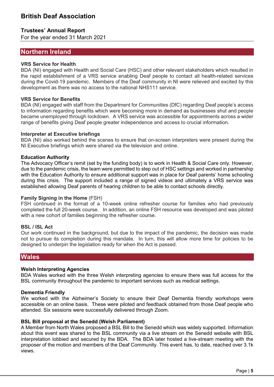### **Trustees' Annual Report**

For the year ended 31 March 2021

## **Northern Ireland**

#### **VRS Service for Health**

BDA (NI) engaged with Health and Social Care (HSC) and other relevant stakeholders which resulted in the rapid establishment of a VRS service enabling Deaf people to contact all health-related services during the Covid-19 pandemic. Members of the Deaf community in NI were relieved and excited by this development as there was no access to the national NHS111 service.

#### **VRS Service for Benefits**

BDA (NI) engaged with staff from the Department for Communities (DfC) regarding Deaf people's access to information regarding benefits which were becoming more in demand as businesses shut and people became unemployed through lockdown. A VRS service was accessible for appointments across a wider range of benefits giving Deaf people greater independence and access to crucial information.

#### **Interpreter at Executive briefings**

BDA (NI) also worked behind the scenes to ensure that on-screen interpreters were present during the NI Executive briefings which were shared via the television and online.

#### **Education Authority**

The Advocacy Officer's remit (set by the funding body) is to work in Health & Social Care only. However, due to the pandemic crisis, the team were permitted to step out of HSC settings and worked in partnership with the Education Authority to ensure additional support was in place for Deaf parents' home schooling during this crisis. The support included a range of signed videos and ultimately a VRS service was established allowing Deaf parents of hearing children to be able to contact schools directly.

#### **Family Signing in the Home** (FSH)

FSH continued in the format of a 10-week online refresher course for families who had previously completed the full 20-week course. In addition, an online FSH resource was developed and was piloted with a new cohort of families beginning the refresher course.

#### **BSL / ISL Act**

Our work continued in the background, but due to the impact of the pandemic, the decision was made not to pursue its completion during this mandate. In turn, this will allow more time for policies to be designed to underpin the legislation ready for when the Act is passed.

### **Wales**

### **Welsh Interpreting Agencies**

BDA Wales worked with the three Welsh interpreting agencies to ensure there was full access for the BSL community throughout the pandemic to important services such as medical settings.

#### **Dementia Friendly**

We worked with the Alzheimer's Society to ensure their Deaf Dementia friendly workshops were accessible on an online basis. These were piloted and feedback obtained from those Deaf people who attended. Six sessions were successfully delivered through Zoom.

### **BSL Bill proposal at the Senedd (Welsh Parliament)**

A Member from North Wales proposed a BSL Bill to the Senedd which was widely supported. Information about this event was shared to the BSL community via a live stream on the Senedd website with BSL interpretation lobbied and secured by the BDA. The BDA later hosted a live-stream meeting with the proposer of the motion and members of the Deaf Community. This event has, to date, reached over 3.1k views.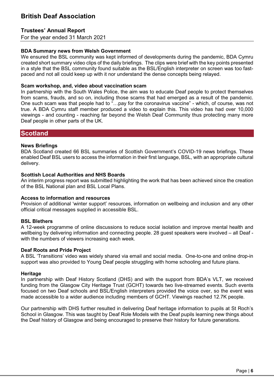### **Trustees' Annual Report**

For the year ended 31 March 2021

### **BDA Summary news from Welsh Government**

We ensured the BSL community was kept informed of developments during the pandemic, BDA Cymru created short summary video clips of the daily briefings. The clips were brief with the key points presented in a style that the BSL community found suitable as the BSL/English interpreter on screen was too fastpaced and not all could keep up with it nor understand the dense concepts being relayed.

### **Scam workshop, and, video about vaccination scam**

In partnership with the South Wales Police, the aim was to educate Deaf people to protect themselves from scams, frauds, and so on, including those scams that had emerged as a result of the pandemic. One such scam was that people had to "…pay for the coronavirus vaccine" - which, of course, was not true. A BDA Cymru staff member produced a video to explain this. This video has had over 10,000 viewings - and counting - reaching far beyond the Welsh Deaf Community thus protecting many more Deaf people in other parts of the UK.

## **Scotland**

### **News Briefings**

BDA Scotland created 66 BSL summaries of Scottish Government's COVID-19 news briefings. These enabled Deaf BSL users to access the information in their first language, BSL, with an appropriate cultural delivery.

#### **Scottish Local Authorities and NHS Boards**

An interim progress report was submitted highlighting the work that has been achieved since the creation of the BSL National plan and BSL Local Plans.

#### **Access to information and resources**

Provision of additional 'winter support' resources, information on wellbeing and inclusion and any other official critical messages supplied in accessible BSL.

### **BSL Blethers**

A 12-week programme of online discussions to reduce social isolation and improve mental health and wellbeing by delivering information and connecting people. 28 guest speakers were involved – all Deaf with the numbers of viewers increasing each week.

#### **Deaf Roots and Pride Project**

A BSL 'Transitions' video was widely shared via email and social media. One-to-one and online drop-in support was also provided to Young Deaf people struggling with home schooling and future plans.

#### **Heritage**

In partnership with Deaf History Scotland (DHS) and with the support from BDA's VLT, we received funding from the Glasgow City Heritage Trust (GCHT) towards two live-streamed events. Such events focused on two Deaf schools and BSL/English interpreters provided the voice over, so the event was made accessible to a wider audience including members of GCHT. Viewings reached 12.7K people.

Our partnership with DHS further resulted in delivering Deaf heritage information to pupils at St Roch's School in Glasgow. This was taught by Deaf Role Models with the Deaf pupils learning new things about the Deaf history of Glasgow and being encouraged to preserve their history for future generations.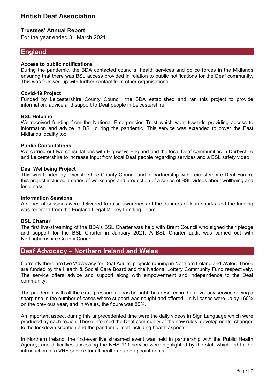### **Trustees' Annual Report**

For the year ended 31 March 2021

## **England**

#### **Access to public notifications**

During the pandemic, the BDA contacted councils, health services and police forces in the Midlands ensuring that there was BSL access provided in relation to public notifications for the Deaf community. This was followed up with further contact from other organisations.

#### **Covid-19 Project**

Funded by Leicestershire County Council, the BDA established and ran this project to provide information, advice and support to Deaf people in Leicestershire.

#### **BSL Helpline**

We received funding from the National Emergencies Trust which went towards providing access to information and advice in BSL during the pandemic. This service was extended to cover the East Midlands locality too.

#### **Public Consultations**

We carried out two consultations with Highways England and the local Deaf communities in Derbyshire and Leicestershire to increase input from local Deaf people regarding services and a BSL safety video.

#### **Deaf Wellbeing Project**

This was funded by Leicestershire County Council and in partnership with Leicestershire Deaf Forum, this project included a series of workshops and production of a series of BSL videos about wellbeing and loneliness.

#### **Information Sessions**

A series of sessions were delivered to raise awareness of the dangers of loan sharks and the funding was received from the England Illegal Money Lending Team.

#### **BSL Charter**

The first live-streaming of the BDA's BSL Charter was held with Brent Council who signed their pledge and support for the BSL Charter in January 2021. A BSL Charter audit was carried out with Nottinghamshire County Council.

## **Deaf Advocacy – Northern Ireland and Wales**

Currently there are two 'Advocacy for Deaf Adults' projects running in Northern Ireland and Wales. These are funded by the Health & Social Care Board and the National Lottery Community Fund respectively. The service offers advice and support along with empowerment and independence to the Deaf community.

The pandemic, with all the extra pressures it has brought, has resulted in the advocacy service seeing a sharp rise in the number of cases where support was sought and offered. In NI cases were up by 160% on the previous year, and in Wales, the figure was 85%.

An important aspect during this unprecedented time were the daily videos in Sign Language which were produced by each region. These informed the Deaf community of the new rules, developments, changes to the lockdown situation and the pandemic itself including health aspects.

In Northern Ireland, the first-ever live streamed event was held in partnership with the Public Health Agency, and difficulties accessing the NHS 111 service were highlighted by the staff which led to the introduction of a VRS service for all health-related appointments.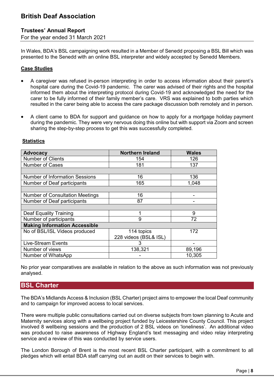### **Trustees' Annual Report**

For the year ended 31 March 2021

In Wales, BDA's BSL campaigning work resulted in a Member of Senedd proposing a BSL Bill which was presented to the Senedd with an online BSL interpreter and widely accepted by Senedd Members.

### **Case Studies**

- A caregiver was refused in-person interpreting in order to access information about their parent's hospital care during the Covid-19 pandemic. The carer was advised of their rights and the hospital informed them about the interpreting protocol during Covid-19 and acknowledged the need for the carer to be fully informed of their family member's care. VRS was explained to both parties which resulted in the carer being able to access the care package discussion both remotely and in person.
- A client came to BDA for support and guidance on how to apply for a mortgage holiday payment during the pandemic. They were very nervous doing this online but with support via Zoom and screen sharing the step-by-step process to get this was successfully completed.

| <b>Advocacy</b>                        | <b>Northern Ireland</b> | <b>Wales</b> |
|----------------------------------------|-------------------------|--------------|
| <b>Number of Clients</b>               | 154                     | 126          |
| <b>Number of Cases</b>                 | 181                     | 137          |
|                                        |                         |              |
| <b>Number of Information Sessions</b>  | 16                      | 136          |
| Number of Deaf participants            | 165                     | 1,048        |
|                                        |                         |              |
| <b>Number of Consultation Meetings</b> | 16                      |              |
| Number of Deaf participants            | 87                      |              |
|                                        |                         |              |
| Deaf Equality Training                 |                         | 9            |
| Number of participants                 | 9                       | 72           |
| <b>Making Information Accessible</b>   |                         |              |
| No of BSL/ISL Videos produced          | 114 topics              | 172          |
|                                        | 228 videos (BSL& ISL)   |              |
| <b>Live-Stream Events</b>              | 3                       |              |
| Number of views                        | 138,321                 | 89,196       |
| Number of WhatsApp                     |                         | 10,305       |

### **Statistics**

No prior year comparatives are available in relation to the above as such information was not previously analysed.

## **BSL Charter**

The BDA's Midlands Access & Inclusion (BSL Charter) project aims to empower the local Deaf community and to campaign for improved access to local services.

There were multiple public consultations carried out on diverse subjects from town planning to Acute and Maternity services along with a wellbeing project funded by Leicestershire County Council. This project involved 8 wellbeing sessions and the production of 2 BSL videos on 'loneliness'. An additional video was produced to raise awareness of Highway England's text messaging and video relay interpreting service and a review of this was conducted by service users.

The London Borough of Brent is the most recent BSL Charter participant, with a commitment to all pledges which will entail BDA staff carrying out an audit on their services to begin with.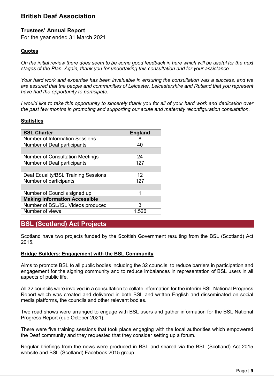### **Trustees' Annual Report**

For the year ended 31 March 2021

### **Quotes**

*On the initial review there does seem to be some good feedback in here which will be useful for the next stages of the Plan. Again, thank you for undertaking this consultation and for your assistance.* 

*Your hard work and expertise has been invaluable in ensuring the consultation was a success, and we are assured that the people and communities of Leicester, Leicestershire and Rutland that you represent have had the opportunity to participate.* 

*I would like to take this opportunity to sincerely thank you for all of your hard work and dedication over the past few months in promoting and supporting our acute and maternity reconfiguration consultation.* 

#### **Statistics**

| <b>BSL Charter</b>                     | <b>England</b> |
|----------------------------------------|----------------|
| <b>Number of Information Sessions</b>  | 8              |
| Number of Deaf participants            | 40             |
|                                        |                |
| <b>Number of Consultation Meetings</b> | 24             |
| Number of Deaf participants            | 127            |
|                                        |                |
| Deaf Equality/BSL Training Sessions    | 12             |
| Number of participants                 | 127            |
|                                        |                |
| Number of Councils signed up           |                |
| <b>Making Information Accessible</b>   |                |
| Number of BSL/ISL Videos produced      |                |
| Number of views                        | 1.526          |

## **BSL (Scotland) Act Projects**

Scotland have two projects funded by the Scottish Government resulting from the BSL (Scotland) Act 2015.

#### **Bridge Builders: Engagement with the BSL Community**

Aims to promote BSL to all public bodies including the 32 councils, to reduce barriers in participation and engagement for the signing community and to reduce imbalances in representation of BSL users in all aspects of public life.

All 32 councils were involved in a consultation to collate information for the interim BSL National Progress Report which was created and delivered in both BSL and written English and disseminated on social media platforms, the councils and other relevant bodies.

Two road shows were arranged to engage with BSL users and gather information for the BSL National Progress Report (due October 2021).

There were five training sessions that took place engaging with the local authorities which empowered the Deaf community and they requested that they consider setting up a forum.

Regular briefings from the news were produced in BSL and shared via the BSL (Scotland) Act 2015 website and BSL (Scotland) Facebook 2015 group.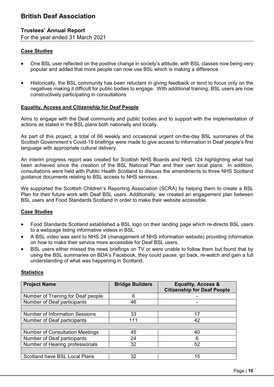### **Trustees' Annual Report**

For the year ended 31 March 2021

### **Case Studies**

- One BSL user reflected on the positive change in society's attitude, with BSL classes now being very popular and added that more people can now use BSL which is making a difference.
- Historically, the BSL community has been reluctant in giving feedback or tend to focus only on the negatives making it difficult for public bodies to engage. With additional training, BSL users are now constructively participating in consultations

#### **Equality, Access and Citizenship for Deaf People**

Aims to engage with the Deaf community and public bodies and to support with the implementation of actions as stated in the BSL plans both nationally and locally.

As part of this project, a total of 66 weekly and occasional urgent on-the-day BSL summaries of the Scottish Government's Covid-19 briefings were made to give access to information in Deaf people's first language with appropriate cultural delivery.

An interim progress report was created for Scottish NHS Boards and NHS 124 highlighting what had been achieved since the creation of the BSL National Plan and their own local plans. In addition, consultations were held with Public Health Scotland to discuss the amendments to three NHS Scotland guidance documents relating to BSL access to NHS services.

We supported the Scottish Children's Reporting Association (SCRA) by helping them to create a BSL Plan for their future work with Deaf BSL users. Additionally, we created an engagement plan between BSL users and Food Standards Scotland in order to make their website accessible.

### **Case Studies**

- Food Standards Scotland established a BSL logo on their landing page which re-directs BSL users to a webpage listing informative videos in BSL.
- A BSL video was sent to NHS 24 (management of NHS information website) providing information on how to make their service more accessible for Deaf BSL users.
- BSL users either missed the news briefings on TV or were unable to follow them but found that by using the BSL summaries on BDA's Facebook, they could pause, go back, re-watch and gain a full understanding of what was happening in Scotland.

### **Statistics**

| <b>Project Name</b>                    | <b>Bridge Builders</b> | <b>Equality, Access &amp;</b><br><b>Citizenship for Deaf People</b> |
|----------------------------------------|------------------------|---------------------------------------------------------------------|
| Number of Training for Deaf people     | 6                      |                                                                     |
| Number of Deaf participants            | 46                     |                                                                     |
|                                        |                        |                                                                     |
| <b>Number of Information Sessions</b>  | 33                     | 17                                                                  |
| Number of Deaf participants            | 111                    | 42                                                                  |
|                                        |                        |                                                                     |
| <b>Number of Consultation Meetings</b> | 45                     | 40                                                                  |
| Number of Deaf participants            | 24                     | 6                                                                   |
| Number of Hearing professionals        | 32                     | 52                                                                  |
|                                        |                        |                                                                     |
| Scotland have BSL Local Plans          | 32                     | 15                                                                  |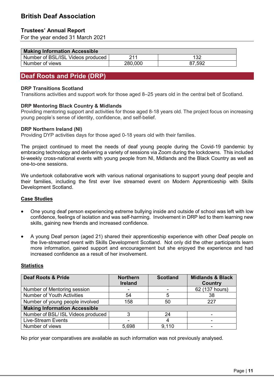## **Trustees' Annual Report**

For the year ended 31 March 2021

| <b>Making Information Accessible</b> |         |        |
|--------------------------------------|---------|--------|
| Number of BSL/ISL Videos produced    | つ11     | 132    |
| Number of views                      | 280,000 | 87,592 |

## **Deaf Roots and Pride (DRP)**

### **DRP Transitions Scotland**

Transitions activities and support work for those aged 8–25 years old in the central belt of Scotland.

### **DRP Mentoring Black Country & Midlands**

Providing mentoring support and activities for those aged 8-18 years old. The project focus on increasing young people's sense of identity, confidence, and self-belief.

#### **DRP Northern Ireland (NI)**

Providing DYP activities days for those aged 0-18 years old with their families.

The project continued to meet the needs of deaf young people during the Covid-19 pandemic by embracing technology and delivering a variety of sessions via Zoom during the lockdowns. This included bi-weekly cross-national events with young people from NI, Midlands and the Black Country as well as one-to-one sessions.

We undertook collaborative work with various national organisations to support young deaf people and their families, including the first ever live streamed event on Modern Apprenticeship with Skills Development Scotland.

### **Case Studies**

- One young deaf person experiencing extreme bullying inside and outside of school was left with low confidence, feelings of isolation and was self-harming. Involvement in DRP led to them learning new skills, gaining new friends and increased confidence.
- A young Deaf person (aged 21) shared their apprenticeship experience with other Deaf people on the live-streamed event with Skills Development Scotland. Not only did the other participants learn more information, gained support and encouragement but she enjoyed the experience and had increased confidence as a result of her involvement.

### **Statistics**

| <b>Deaf Roots &amp; Pride</b>        | <b>Northern</b><br><b>Ireland</b> | <b>Scotland</b> | <b>Midlands &amp; Black</b><br><b>Country</b> |
|--------------------------------------|-----------------------------------|-----------------|-----------------------------------------------|
| Number of Mentoring session          |                                   |                 | 62 (137 hours)                                |
| <b>Number of Youth Activities</b>    | 54                                |                 | 38                                            |
| Number of young people involved      | 158                               | 50              | 227                                           |
| <b>Making Information Accessible</b> |                                   |                 |                                               |
| Number of BSL/ISL Videos produced    |                                   | 24              |                                               |
| <b>Live-Stream Events</b>            |                                   |                 |                                               |
| Number of views                      | 5,698                             | 9,110           |                                               |

No prior year comparatives are available as such information was not previously analysed.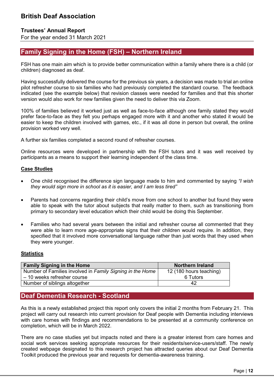## **Trustees' Annual Report**

For the year ended 31 March 2021

## **Family Signing in the Home (FSH) – Northern Ireland**

FSH has one main aim which is to provide better communication within a family where there is a child (or children) diagnosed as deaf.

Having successfully delivered the course for the previous six years, a decision was made to trial an online pilot refresher course to six families who had previously completed the standard course. The feedback indicated (see the example below) that revision classes were needed for families and that this shorter version would also work for new families given the need to deliver this via Zoom.

100% of families believed it worked just as well as face-to-face although one family stated they would prefer face-to-face as they felt you perhaps engaged more with it and another who stated it would be easier to keep the children involved with games, etc., if it was all done in person but overall, the online provision worked very well.

A further six families completed a second round of refresher courses.

Online resources were developed in partnership with the FSH tutors and it was well received by participants as a means to support their learning independent of the class time.

### **Case Studies**

- y One child recognised the difference sign language made to him and commented by saying *"I wish they would sign more in school as it is easier, and I am less tired"*
- Parents had concerns regarding their child's move from one school to another but found they were able to speak with the tutor about subjects that really matter to them, such as transitioning from primary to secondary level education which their child would be doing this September.
- Families who had several years between the initial and refresher course all commented that they were able to learn more age-appropriate signs that their children would require. In addition, they specified that it involved more conversational language rather than just words that they used when they were younger.

### **Statistics**

| <b>Family Signing in the Home</b>                         | <b>Northern Ireland</b> |
|-----------------------------------------------------------|-------------------------|
| Number of Families involved in Family Signing in the Home | 12 (180 hours teaching) |
| - 10 weeks refresher course                               | 6 Tutors                |
| Number of siblings altogether                             | 42                      |

## **Deaf Dementia Research - Scotland**

As this is a newly established project this report only covers the initial 2 months from February 21. This project will carry out research into current provision for Deaf people with Dementia including interviews with care homes with findings and recommendations to be presented at a community conference on completion, which will be in March 2022.

There are no case studies yet but impacts noted and there is a greater interest from care homes and social work services seeking appropriate resources for their residents/service-users/staff. The newly created webpage designated to this research project has attracted queries about our Deaf Dementia Toolkit produced the previous year and requests for dementia-awareness training.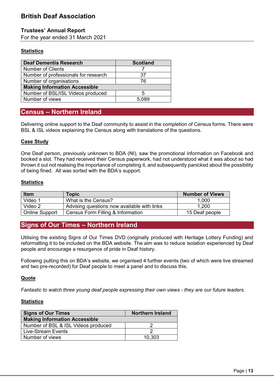### **Trustees' Annual Report**

For the year ended 31 March 2021

### **Statistics**

| Deaf Dementia Research               | <b>Scotland</b> |
|--------------------------------------|-----------------|
| <b>Number of Clients</b>             |                 |
| Number of professionals for research | 37              |
| Number of organisations              | 76              |
| <b>Making Information Accessible</b> |                 |
| Number of BSL/ISL Videos produced    | 5               |
| Number of views                      | 5.089           |

## **Census – Northern Ireland**

Delivering online support to the Deaf community to assist in the completion of Census forms. There were BSL & ISL videos explaining the Census along with translations of the questions.

### **Case Study**

One Deaf person, previously unknown to BDA (NI), saw the promotional information on Facebook and booked a slot. They had received their Census paperwork, had not understood what it was about so had thrown it out not realising the importance of completing it, and subsequently panicked about the possibility of being fined. All was sorted with the BDA's support.

### **Statistics**

| <b>Item</b>           | Topic                                       | <b>Number of Views</b> |
|-----------------------|---------------------------------------------|------------------------|
| Video 1               | What is the Census?                         | 1,000                  |
| Video 2               | Advising questions now available with links | 1,200                  |
| <b>Online Support</b> | Census Form Filling & Information           | 15 Deaf people         |

## **Signs of Our Times – Northern Ireland**

Utilising the existing Signs of Our Times DVD (originally produced with Heritage Lottery Funding) and reformatting it to be included on the BDA website. The aim was to reduce isolation experienced by Deaf people and encourage a resurgence of pride in Deaf history.

Following putting this on BDA's website, we organised 4 further events (two of which were live streamed and two pre-recorded) for Deaf people to meet a panel and to discuss this.

### **Quote**

*Fantastic to watch three young deaf people expressing their own views - they are our future leaders.* 

### **Statistics**

| <b>Signs of Our Times</b>            | <b>Northern Ireland</b> |
|--------------------------------------|-------------------------|
| <b>Making Information Accessible</b> |                         |
| Number of BSL & ISL Videos produced  |                         |
| Live-Stream Events                   |                         |
| Number of views                      | 10,303                  |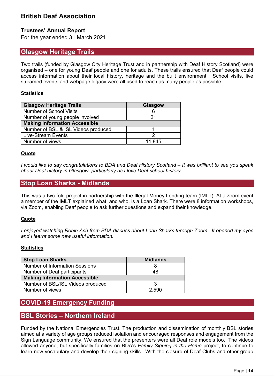### **Trustees' Annual Report**

For the year ended 31 March 2021

## **Glasgow Heritage Trails**

Two trails (funded by Glasgow City Heritage Trust and in partnership with Deaf History Scotland) were organised – one for young Deaf people and one for adults. These trails ensured that Deaf people could access information about their local history, heritage and the built environment. School visits, live streamed events and webpage legacy were all used to reach as many people as possible.

### **Statistics**

| <b>Glasgow Heritage Trails</b>       | Glasgow |
|--------------------------------------|---------|
| <b>Number of School Visits</b>       |         |
| Number of young people involved      | 21      |
| <b>Making Information Accessible</b> |         |
| Number of BSL & ISL Videos produced  |         |
| <b>Live-Stream Events</b>            |         |
| Number of views                      | 11.845  |

### **Quote**

*I would like to say congratulations to BDA and Deaf History Scotland – It was brilliant to see you speak about Deaf history in Glasgow, particularly as I love Deaf school history.* 

## **Stop Loan Sharks - Midlands**

This was a two-fold project in partnership with the Illegal Money Lending team (IMLT). At a zoom event a member of the IMLT explained what, and who, is a Loan Shark. There were 8 information workshops, via Zoom, enabling Deaf people to ask further questions and expand their knowledge.

### **Quote**

*I enjoyed watching Robin Ash from BDA discuss about Loan Sharks through Zoom. It opened my eyes and I learnt some new useful information.* 

#### **Statistics**

| <b>Stop Loan Sharks</b>               | <b>Midlands</b> |  |
|---------------------------------------|-----------------|--|
| <b>Number of Information Sessions</b> |                 |  |
| Number of Deaf participants           | 48              |  |
| <b>Making Information Accessible</b>  |                 |  |
| Number of BSL/ISL Videos produced     |                 |  |
| Number of views                       | 2.590           |  |

## **COVID-19 Emergency Funding**

## **BSL Stories – Northern Ireland**

Funded by the National Emergencies Trust. The production and dissemination of monthly BSL stories aimed at a variety of age groups reduced isolation and encouraged responses and engagement from the Sign Language community. We ensured that the presenters were all Deaf role models too. The videos allowed anyone, but specifically families on BDA's *Family Signing in the Home* project, to continue to learn new vocabulary and develop their signing skills. With the closure of Deaf Clubs and other group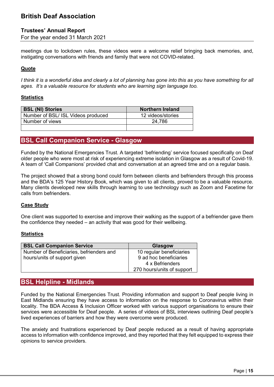### **Trustees' Annual Report**

For the year ended 31 March 2021

meetings due to lockdown rules, these videos were a welcome relief bringing back memories, and, instigating conversations with friends and family that were not COVID-related.

### **Quote**

I think it is a wonderful idea and clearly a lot of planning has gone into this as you have something for all *ages. It's a valuable resource for students who are learning sign language too.* 

#### **Statistics**

| <b>BSL (NI) Stories</b>            | <b>Northern Ireland</b> |
|------------------------------------|-------------------------|
| Number of BSL/ ISL Videos produced | 12 videos/stories       |
| Number of views                    | 24,786                  |
|                                    |                         |

## **BSL Call Companion Service - Glasgow**

Funded by the National Emergencies Trust. A targeted 'befriending' service focused specifically on Deaf older people who were most at risk of experiencing extreme isolation in Glasgow as a result of Covid-19. A team of 'Call Companions' provided chat and conversation at an agreed time and on a regular basis.

The project showed that a strong bond could form between clients and befrienders through this process and the BDA's 125 Year History Book, which was given to all clients, proved to be a valuable resource. Many clients developed new skills through learning to use technology such as Zoom and Facetime for calls from befrienders.

### **Case Study**

One client was supported to exercise and improve their walking as the support of a befriender gave them the confidence they needed – an activity that was good for their wellbeing.

#### **Statistics**

| <b>BSL Call Companion Service</b>        | Glasgow                    |
|------------------------------------------|----------------------------|
| Number of Beneficiaries, befrienders and | 10 regular beneficiaries   |
| hours/units of support given             | 9 ad hoc beneficiaries     |
|                                          | 4 x Befrienders            |
|                                          | 270 hours/units of support |

## **BSL Helpline - Midlands**

Funded by the National Emergencies Trust. Providing information and support to Deaf people living in East Midlands ensuring they have access to information on the response to Coronavirus within their locality. The BDA Access & Inclusion Officer worked with various support organisations to ensure their services were accessible for Deaf people. A series of videos of BSL interviews outlining Deaf people's lived experiences of barriers and how they were overcome were produced.

The anxiety and frustrations experienced by Deaf people reduced as a result of having appropriate access to information with confidence improved, and they reported that they felt equipped to express their opinions to service providers.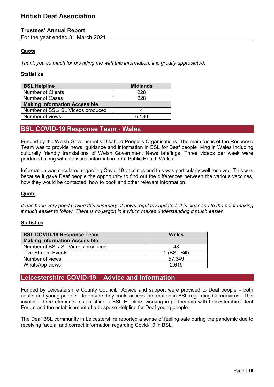### **Trustees' Annual Report**

For the year ended 31 March 2021

### **Quote**

*Thank you so much for providing me with this information, it is greatly appreciated.* 

### **Statistics**

| <b>BSL Helpline</b>                  | <b>Midlands</b> |  |
|--------------------------------------|-----------------|--|
| <b>Number of Clients</b>             | 228             |  |
| <b>Number of Cases</b>               | 228             |  |
| <b>Making Information Accessible</b> |                 |  |
| Number of BSL/ISL Videos produced    |                 |  |
| Number of views                      | 6,180           |  |

# **BSL COVID-19 Response Team - Wales**

Funded by the Welsh Government's Disabled People's Organisations. The main focus of the Response Team was to provide news, guidance and information in BSL for Deaf people living in Wales including culturally friendly translations of Welsh Government News briefings. Three videos per week were produced along with statistical information from Public Health Wales.

Information was circulated regarding Covid-19 vaccines and this was particularly well received. This was because it gave Deaf people the opportunity to find out the differences between the various vaccines, how they would be contacted, how to book and other relevant information.

### **Quote**

*It has been very good having this summary of news regularly updated. It is clear and to the point making it much easier to follow. There is no jargon in it which makes understanding it much easier.* 

### **Statistics**

| <b>BSL COVID-19 Response Team</b>    | <b>Wales</b> |
|--------------------------------------|--------------|
| <b>Making Information Accessible</b> |              |
| Number of BSL/ISL Videos produced    | 43           |
| Live-Stream Events                   | 1 (BSL Bill) |
| Number of views                      | 57.649       |
| <b>WhatsApp views</b>                | 2,619        |

## **Leicestershire COVID-19 – Advice and Information**

Funded by Leicestershire County Council. Advice and support were provided to Deaf people – both adults and young people – to ensure they could access information in BSL regarding Coronavirus. This involved three elements: establishing a BSL Helpline, working in partnership with Leicestershire Deaf Forum and the establishment of a bespoke Helpline for Deaf young people.

The Deaf BSL community in Leicestershire reported a sense of feeling safe during the pandemic due to receiving factual and correct information regarding Covid-19 in BSL.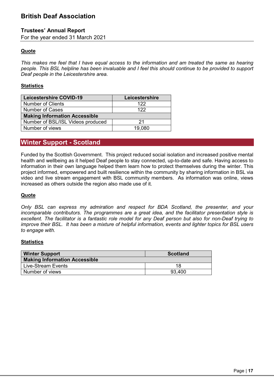### **Trustees' Annual Report**

For the year ended 31 March 2021

### **Quote**

*This makes me feel that I have equal access to the information and am treated the same as hearing people. This BSL helpline has been invaluable and I feel this should continue to be provided to support Deaf people in the Leicestershire area.* 

### **Statistics**

| <b>Leicestershire COVID-19</b>       | Leicestershire |
|--------------------------------------|----------------|
| <b>Number of Clients</b>             | 122            |
| <b>Number of Cases</b>               | 122            |
| <b>Making Information Accessible</b> |                |
| Number of BSL/ISL Videos produced    | 21             |
| Number of views                      | 19,080         |

## **Winter Support - Scotland**

Funded by the Scottish Government. This project reduced social isolation and increased positive mental health and wellbeing as it helped Deaf people to stay connected, up-to-date and safe. Having access to information in their own language helped them learn how to protect themselves during the winter. This project informed, empowered and built resilience within the community by sharing information in BSL via video and live stream engagement with BSL community members. As information was online, views increased as others outside the region also made use of it.

### **Quote**

*Only BSL can express my admiration and respect for BDA Scotland, the presenter, and your incomparable contributors. The programmes are a great idea, and the facilitator presentation style is*  excellent. The facilitator is a fantastic role model for any Deaf person but also for non-Deaf trying to *improve their BSL. It has been a mixture of helpful information, events and lighter topics for BSL users to engage with.* 

#### **Statistics**

| <b>Winter Support</b>                | <b>Scotland</b> |
|--------------------------------------|-----------------|
| <b>Making Information Accessible</b> |                 |
| Live-Stream Events                   | 18              |
| Number of views                      | 93,400          |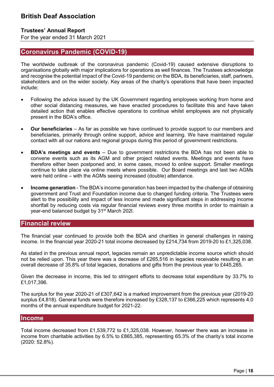### **Trustees' Annual Report**

For the year ended 31 March 2021

## **Coronavirus Pandemic (COVID-19)**

The worldwide outbreak of the coronavirus pandemic (Covid-19) caused extensive disruptions to organisations globally with major implications for operations as well finances. The Trustees acknowledge and recognise the potential impact of the Covid-19 pandemic on the BDA, its beneficiaries, staff, partners, stakeholders and on the wider society. Key areas of the charity's operations that have been impacted include:

- Following the advice issued by the UK Government regarding employees working from home and other social distancing measures, we have enacted procedures to facilitate this and have taken detailed action that enables effective operations to continue whilst employees are not physically present in the BDA's office.
- y **Our beneficiaries** As far as possible we have continued to provide support to our members and beneficiaries, primarily through online support, advice and learning. We have maintained regular contact with all our nations and regional groups during this period of government restrictions.
- **BDA's meetings and events** Due to government restrictions the BDA has not been able to convene events such as its AGM and other project related events. Meetings and events have therefore either been postponed and, in some cases, moved to online support. Smaller meetings continue to take place via online meets where possible. Our Board meetings and last two AGMs were held online – with the AGMs seeing increased (double) attendance.
- **Income generation** The BDA's income generation has been impacted by the challenge of obtaining government and Trust and Foundation income due to changed funding criteria. The Trustees were alert to the possibility and impact of less income and made significant steps in addressing income shortfall by reducing costs via regular financial reviews every three months in order to maintain a year-end balanced budget by 31<sup>st</sup> March 202l.

### **Financial review**

The financial year continued to provide both the BDA and charities in general challenges in raising income. In the financial year 2020-21 total income decreased by £214,734 from 2019-20 to £1,325,038.

As stated in the previous annual report, legacies remain an unpredictable income source which should not be relied upon. This year there was a decrease of £265,516 in legacies receivable resulting in an overall decrease of 35.8% of total legacies, donations and gifts from the previous year to £445,285.

Given the decrease in income, this led to stringent efforts to decrease total expenditure by 33.7% to £1,017,396.

The surplus for the year 2020-21 of £307,642 is a marked improvement from the previous year (2019-20 surplus £4,818). General funds were therefore increased by £328,137 to £366,225 which represents 4.0 months of the annual expenditure budget for 2021-22.

### **Income**

Total income decreased from £1,539,772 to £1,325,038. However, however there was an increase in income from charitable activities by 6.5% to £865,385, representing 65.3% of the charity's total income (2020: 52.8%).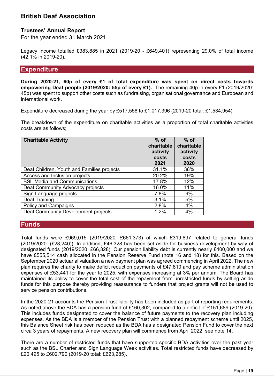### **Trustees' Annual Report**

For the year ended 31 March 2021

Legacy income totalled £383,885 in 2021 (2019-20 - £649,401) representing 29.0% of total income (42.1% in 2019-20).

### **Expenditure**

**During 2020-21, 60p of every £1 of total expenditure was spent on direct costs towards empowering Deaf people (2019/2020: 55p of every £1).** The remaining 40p in every £1 (2019/2020: 45p) was spent to support other costs such as fundraising, organisational governance and European and international work.

Expenditure decreased during the year by £517,558 to £1,017,396 (2019-20 total: £1,534,954)

The breakdown of the expenditure on charitable activities as a proportion of total charitable activities costs are as follows;

| <b>Charitable Activity</b>                 | $%$ of<br>charitable<br>activity<br>costs<br>2021 | $%$ of<br>charitable<br>activity<br>costs<br>2020 |
|--------------------------------------------|---------------------------------------------------|---------------------------------------------------|
| Deaf Children, Youth and Families projects | 31.1%                                             | <b>36%</b>                                        |
| Access and Inclusion projects              | 20.2%                                             | 19%                                               |
| <b>BSL Media and Communications</b>        | 17.8%                                             | 12%                                               |
| Deaf Community Advocacy projects           | 16.0%                                             | 11%                                               |
| Sign Language projects                     | 7.8%                                              | 9%                                                |
| Deaf Training                              | 3.1%                                              | 5%                                                |
| Policy and Campaigns                       | 2.8%                                              | 4%                                                |
| Deaf Community Development projects        | 1.2%                                              | 4%                                                |

### **Funds**

Total funds were £969,015 (2019/2020: £661,373) of which £319,897 related to general funds (2019/2020: (£28,240)). In addition, £46,328 has been set aside for business development by way of designated funds (2019/2020: £66,328). Our pension liability debt is currently nearly £400,000 and we have £555,514 cash allocated in the Pension Reserve Fund (note 16 and 18) for this. Based on the September 2020 actuarial valuation a new payment plan was agreed commencing in April 2022. The new plan requires the charity to make deficit reduction payments of £47,810 and pay scheme administration expenses of £53,441 for the year to 2025, with expenses increasing at 3% per annum. The Board has maintained its policy to cover the total cost of the repayment from unrestricted funds by setting aside funds for this purpose thereby providing reassurance to funders that project grants will not be used to service pension contributions.

In the 2020-21 accounts the Pension Trust liability has been included as part of reporting requirements. As noted above the BDA has a pension fund of £160,302, compared to a deficit of £151,689 (2019-20). This includes funds designated to cover the balance of future payments to the recovery plan including expenses. As the BDA is a member of the Pension Trust with a planned repayment scheme until 2025, this Balance Sheet risk has been reduced as the BDA has a designated Pension Fund to cover the next circa 3 years of repayments. A new recovery plan will commence from April 2022, see note 14.

There are a number of restricted funds that have supported specific BDA activities over the past year such as the BSL Charter and Sign Language Week activities. Total restricted funds have decreased by £20,495 to £602,790 (2019-20 total: £623,285).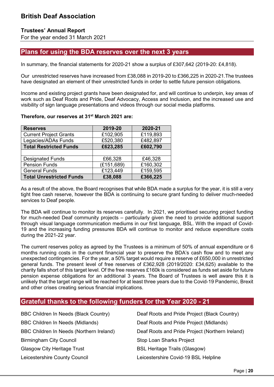## **Trustees' Annual Report**

For the year ended 31 March 2021

## **Plans for using the BDA reserves over the next 3 years**

In summary, the financial statements for 2020-21 show a surplus of £307,642 (2019-20: £4,818).

Our unrestricted reserves have increased from £38,088 in 2019-20 to £366,225 in 2020-21.The trustees have designated an element of their unrestricted funds in order to settle future pension obligations.

Income and existing project grants have been designated for, and will continue to underpin, key areas of work such as Deaf Roots and Pride, Deaf Advocacy, Access and Inclusion, and the increased use and visibility of sign language presentations and videos through our social media platforms.

| <b>Reserves</b>                 | 2019-20    | 2020-21  |
|---------------------------------|------------|----------|
| <b>Current Project Grants</b>   | £102,905   | £119,893 |
| Legacies/ADAs Funds             | £520,380   | £482,897 |
| <b>Total Restricted Funds</b>   | £623,285   | £602,790 |
|                                 |            |          |
| <b>Designated Funds</b>         | £66,328    | £46,328  |
| <b>Pension Funds</b>            | (E151,689) | £160,302 |
| <b>General Funds</b>            | £123,449   | £159,595 |
| <b>Total Unrestricted Funds</b> | £38,088    | £366,225 |

#### **Therefore, our reserves at 31st March 2021 are:**

As a result of the above, the Board recognises that while BDA made a surplus for the year, it is still a very tight free cash reserve, however the BDA is continuing to secure grant funding to deliver much-needed services to Deaf people.

The BDA will continue to monitor its reserves carefully. In 2021, we prioritised securing project funding for much-needed Deaf community projects – particularly given the need to provide additional support through visual language communication mediums in our first language, BSL. With the impact of Covid-19 and the increasing funding pressures BDA will continue to monitor and reduce expenditure costs during the 2021-22 year.

The current reserves policy as agreed by the Trustees is a minimum of 50% of annual expenditure or 6 months running costs in the current financial year to preserve the BDA's cash flow and to meet any unexpected contingencies. For the year, a 50% target would require a reserve of £650,000 in unrestricted general funds. The present level of free reserves of £362,928 (2019/2020: £34,625) available to the charity falls short of this target level. Of the free reserves £160k is considered as funds set aside for future pension expense obligations for an additional 3 years. The Board of Trustees is well aware this it is unlikely that the target range will be reached for at least three years due to the Covid-19 Pandemic, Brexit and other crises creating serious financial implications.

## **Grateful thanks to the following funders for the Year 2020 - 21**

| BBC Children In Needs (Black Country)    | Deaf Roots and Pride Project (Black Country)    |
|------------------------------------------|-------------------------------------------------|
| BBC Children In Needs (Midlands)         | Deaf Roots and Pride Project (Midlands)         |
| BBC Children In Needs (Northern Ireland) | Deaf Roots and Pride Project (Northern Ireland) |
| <b>Birmingham City Council</b>           | Stop Loan Sharks Project                        |
| <b>Glasgow City Heritage Trust</b>       | <b>BSL Heritage Trails (Glasgow)</b>            |
| Leicestershire County Council            | Leicestershire Covid-19 BSL Helpline            |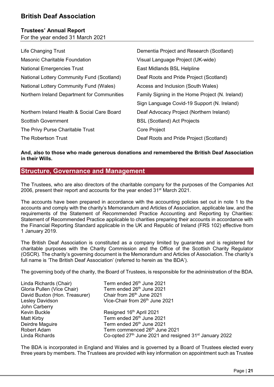## **Trustees' Annual Report**

For the year ended 31 March 2021

| Life Changing Trust                               | Dementia Project and Research (Scotland)        |
|---------------------------------------------------|-------------------------------------------------|
| <b>Masonic Charitable Foundation</b>              | Visual Language Project (UK-wide)               |
| <b>National Emergencies Trust</b>                 | East Midlands BSL Helpline                      |
| <b>National Lottery Community Fund (Scotland)</b> | Deaf Roots and Pride Project (Scotland)         |
| National Lottery Community Fund (Wales)           | Access and Inclusion (South Wales)              |
| Northern Ireland Department for Communities       | Family Signing in the Home Project (N. Ireland) |
|                                                   | Sign Language Covid-19 Support (N. Ireland)     |
| Northern Ireland Health & Social Care Board       | Deaf Advocacy Project (Northern Ireland)        |
| <b>Scottish Government</b>                        | <b>BSL (Scotland) Act Projects</b>              |
| The Privy Purse Charitable Trust                  | Core Project                                    |
| The Robertson Trust                               | Deaf Roots and Pride Project (Scotland)         |

### **And, also to those who made generous donations and remembered the British Deaf Association in their Wills.**

### **Structure, Governance and Management**

The Trustees, who are also directors of the charitable company for the purposes of the Companies Act 2006, present their report and accounts for the year ended 31<sup>st</sup> March 2021.

The accounts have been prepared in accordance with the accounting policies set out in note 1 to the accounts and comply with the charity's Memorandum and Articles of Association, applicable law, and the requirements of the Statement of Recommended Practice Accounting and Reporting by Charities: Statement of Recommended Practice applicable to charities preparing their accounts in accordance with the Financial Reporting Standard applicable in the UK and Republic of Ireland (FRS 102) effective from 1 January 2019.

The British Deaf Association is constituted as a company limited by guarantee and is registered for charitable purposes with the Charity Commission and the Office of the Scottish Charity Regulator (OSCR). The charity's governing document is the Memorandum and Articles of Association. The charity's full name is 'The British Deaf Association' (referred to herein as 'the BDA').

The governing body of the charity, the Board of Trustees, is responsible for the administration of the BDA.

| Linda Richards (Chair)        | Term ended 26th June 2021                                          |
|-------------------------------|--------------------------------------------------------------------|
| Gloria Pullen (Vice Chair)    | Term ended 26th June 2021                                          |
| David Buxton (Hon. Treasurer) | Chair from 26 <sup>th</sup> June 2021                              |
| Lesley Davidson               | Vice-Chair from 26 <sup>th</sup> June 2021                         |
| John Carberry                 |                                                                    |
| Kevin Buckle                  | Resigned 16th April 2021                                           |
| Matt Kirby                    | Term ended 26th June 2021                                          |
| Deirdre Maguire               | Term ended 26th June 2021                                          |
| Robert Adam                   | Term commenced 26th June 2021                                      |
| Linda Richards                | Co-opted 27th June 2021 and resigned 31 <sup>st</sup> January 2022 |

The BDA is incorporated in England and Wales and is governed by a Board of Trustees elected every three years by members. The Trustees are provided with key information on appointment such as Trustee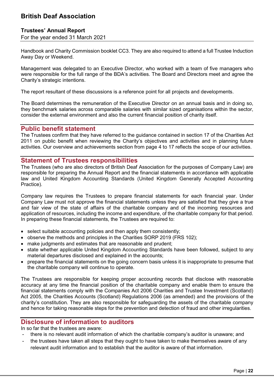### **Trustees' Annual Report**

For the year ended 31 March 2021

Handbook and Charity Commission booklet CC3. They are also required to attend a full Trustee Induction Away Day or Weekend.

Management was delegated to an Executive Director, who worked with a team of five managers who were responsible for the full range of the BDA's activities. The Board and Directors meet and agree the Charity's strategic intentions.

The report resultant of these discussions is a reference point for all projects and developments.

The Board determines the remuneration of the Executive Director on an annual basis and in doing so, they benchmark salaries across comparable salaries with similar sized organisations within the sector, consider the external environment and also the current financial position of charity itself.

## **Public benefit statement**

The Trustees confirm that they have referred to the guidance contained in section 17 of the Charities Act 2011 on public benefit when reviewing the Charity's objectives and activities and in planning future activities. Our overview and achievements section from page 4 to 17 reflects the scope of our activities.

### **Statement of Trustees responsibilities**

The Trustees (who are also directors of British Deaf Association for the purposes of Company Law) are responsible for preparing the Annual Report and the financial statements in accordance with applicable law and United Kingdom Accounting Standards (United Kingdom Generally Accepted Accounting Practice).

Company law requires the Trustees to prepare financial statements for each financial year. Under Company Law must not approve the financial statements unless they are satisfied that they give a true and fair view of the state of affairs of the charitable company and of the incoming resources and application of resources, including the income and expenditure, of the charitable company for that period. In preparing these financial statements, the Trustees are required to:

- $\bullet$  select suitable accounting policies and then apply them consistently;
- y observe the methods and principles in the Charities SORP 2019 (FRS 102);
- make judgments and estimates that are reasonable and prudent;
- state whether applicable United Kingdom Accounting Standards have been followed, subject to any material departures disclosed and explained in the accounts;
- y prepare the financial statements on the going concern basis unless it is inappropriate to presume that the charitable company will continue to operate.

The Trustees are responsible for keeping proper accounting records that disclose with reasonable accuracy at any time the financial position of the charitable company and enable them to ensure the financial statements comply with the Companies Act 2006 Charities and Trustee Investment (Scotland) Act 2005, the Charities Accounts (Scotland) Regulations 2006 (as amended) and the provisions of the charity's constitution. They are also responsible for safeguarding the assets of the charitable company and hence for taking reasonable steps for the prevention and detection of fraud and other irregularities.

### **Disclosure of information to auditors**

In so far that the trustees are aware:

- there is no relevant audit information of which the charitable company's auditor is unaware; and
- the trustees have taken all steps that they ought to have taken to make themselves aware of any relevant audit information and to establish that the auditor is aware of that information.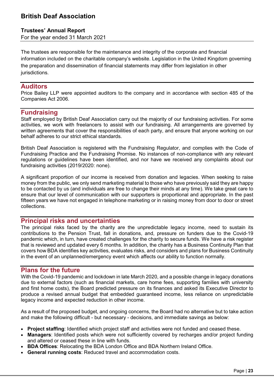### **Trustees' Annual Report**

For the year ended 31 March 2021

The trustees are responsible for the maintenance and integrity of the corporate and financial information included on the charitable company's website. Legislation in the United Kingdom governing the preparation and dissemination of financial statements may differ from legislation in other jurisdictions.

### **Auditors**

Price Bailey LLP were appointed auditors to the company and in accordance with section 485 of the Companies Act 2006.

## **Fundraising**

Staff employed by British Deaf Association carry out the majority of our fundraising activities. For some activities, we work with freelancers to assist with our fundraising. All arrangements are governed by written agreements that cover the responsibilities of each party, and ensure that anyone working on our behalf adheres to our strict ethical standards.

British Deaf Association is registered with the Fundraising Regulator, and complies with the Code of Fundraising Practice and the Fundraising Promise. No instances of non-compliance with any relevant regulations or guidelines have been identified, and nor have we received any complaints about our fundraising activities (2019/2020: none).

A significant proportion of our income is received from donation and legacies. When seeking to raise money from the public, we only send marketing material to those who have previously said they are happy to be contacted by us (and individuals are free to change their minds at any time). We take great care to ensure that our level of communication with our supporters is proportional and appropriate. In the past fifteen years we have not engaged in telephone marketing or in raising money from door to door or street collections.

## **Principal risks and uncertainties**

The principal risks faced by the charity are the unpredictable legacy income, need to sustain its contributions to the Pension Trust, fall in donations, and, pressure on funders due to the Covid-19 pandemic which, in turn, have created challenges for the charity to secure funds. We have a risk register that is reviewed and updated every 6 months. In addition, the charity has a Business Continuity Plan that covers how BDA identifies key activities, evaluates risks, and considers and plans for Business Continuity in the event of an unplanned/emergency event which affects our ability to function normally.

## **Plans for the future**

With the Covid-19 pandemic and lockdown in late March 2020, and a possible change in legacy donations due to external factors (such as financial markets, care home fees, supporting families with university and first home costs), the Board predicted pressure on its finances and asked its Executive Director to produce a revised annual budget that embedded guaranteed income, less reliance on unpredictable legacy income and expected reduction in other income.

As a result of the proposed budget, and ongoing concerns, the Board had no alternative but to take action and make the following difficult - but necessary - decisions, and immediate savings as below:

- Project staffing: Identified which project staff and activities were not funded and ceased these.
- **Managers**: Identified posts which were not sufficiently covered by recharges and/or project funding and altered or ceased these in line with funds.
- **BDA Offices: Relocating the BDA London Office and BDA Northern Ireland Office.**
- **General running costs: Reduced travel and accommodation costs.**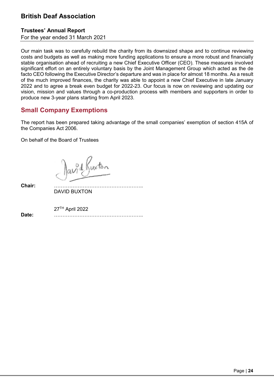### **Trustees' Annual Report**

For the year ended 31 March 2021

Our main task was to carefully rebuild the charity from its downsized shape and to continue reviewing costs and budgets as well as making more funding applications to ensure a more robust and financially stable organisation ahead of recruiting a new Chief Executive Officer (CEO). These measures involved significant effort on an entirely voluntary basis by the Joint Management Group which acted as the de facto CEO following the Executive Director's departure and was in place for almost 18 months. As a result of the much improved finances, the charity was able to appoint a new Chief Executive in late January 2022 and to agree a break even budget for 2022-23. Our focus is now on reviewing and updating our vision, mission and values through a co-production process with members and supporters in order to produce new 3-year plans starting from April 2023.

# **Small Company Exemptions**

The report has been prepared taking advantage of the small companies' exemption of section 415A of the Companies Act 2006.

On behalf of the Board of Trustees

Chair:

**Chair:** …………………………………………….. DAVID BUXTON

 27TH April 2022 **Date:** ……………………………………………..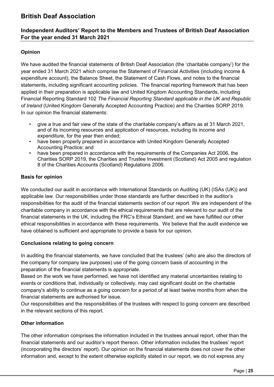## **Independent Auditors' Report to the Members and Trustees of British Deaf Association For the year ended 31 March 2021**

## **Opinion**

We have audited the financial statements of British Deaf Association (the 'charitable company') for the year ended 31 March 2021 which comprise the Statement of Financial Activities (including income & expenditure account), the Balance Sheet, the Statement of Cash Flows, and notes to the financial statements, including significant accounting policies. The financial reporting framework that has been applied in their preparation is applicable law and United Kingdom Accounting Standards, including Financial Reporting Standard 102 *The Financial Reporting Standard applicable in the UK and Republic of Ireland* (United Kingdom Generally Accepted Accounting Practice) and the Charities SORP 2019. In our opinion the financial statements:

- give a true and fair view of the state of the charitable company's affairs as at 31 March 2021, and of its incoming resources and application of resources, including its income and expenditure, for the year then ended;
- have been properly prepared in accordance with United Kingdom Generally Accepted Accounting Practice; and
- have been prepared in accordance with the requirements of the Companies Act 2006, the Charities SORP 2019, the Charities and Trustee Investment (Scotland) Act 2005 and regulation 8 of the Charities Accounts (Scotland) Regulations 2006.

### **Basis for opinion**

We conducted our audit in accordance with International Standards on Auditing (UK) (ISAs (UK)) and applicable law. Our responsibilities under those standards are further described in the auditor's responsibilities for the audit of the financial statements section of our report. We are independent of the charitable company in accordance with the ethical requirements that are relevant to our audit of the financial statements in the UK, including the FRC's Ethical Standard, and we have fulfilled our other ethical responsibilities in accordance with these requirements. We believe that the audit evidence we have obtained is sufficient and appropriate to provide a basis for our opinion.

### **Conclusions relating to going concern**

In auditing the financial statements, we have concluded that the trustees' (who are also the directors of the company for company law purposes) use of the going concern basis of accounting in the preparation of the financial statements is appropriate.

Based on the work we have performed, we have not identified any material uncertainties relating to events or conditions that, individually or collectively, may cast significant doubt on the charitable company's ability to continue as a going concern for a period of at least twelve months from when the financial statements are authorised for issue.

Our responsibilities and the responsibilities of the trustees with respect to going concern are described in the relevant sections of this report.

### **Other information**

The other information comprises the information included in the trustees annual report, other than the financial statements and our auditor's report thereon. Other information includes the trustees' report (incorporating the directors' report). Our opinion on the financial statements does not cover the other information and, except to the extent otherwise explicitly stated in our report, we do not express any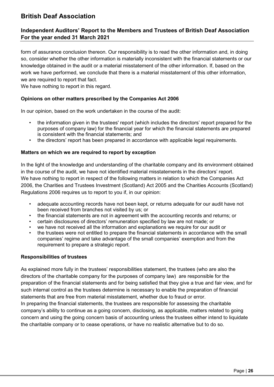## **Independent Auditors' Report to the Members and Trustees of British Deaf Association For the year ended 31 March 2021**

form of assurance conclusion thereon. Our responsibility is to read the other information and, in doing so, consider whether the other information is materially inconsistent with the financial statements or our knowledge obtained in the audit or a material misstatement of the other information. If, based on the work we have performed, we conclude that there is a material misstatement of this other information, we are required to report that fact.

We have nothing to report in this regard.

### **Opinions on other matters prescribed by the Companies Act 2006**

In our opinion, based on the work undertaken in the course of the audit:

- the information given in the trustees' report (which includes the directors' report prepared for the purposes of company law) for the financial year for which the financial statements are prepared is consistent with the financial statements; and
- the directors' report has been prepared in accordance with applicable legal requirements.

### **Matters on which we are required to report by exception**

In the light of the knowledge and understanding of the charitable company and its environment obtained in the course of the audit, we have not identified material misstatements in the directors' report. We have nothing to report in respect of the following matters in relation to which the Companies Act 2006, the Charities and Trustees Investment (Scotland) Act 2005 and the Charities Accounts (Scotland) Regulations 2006 requires us to report to you if, in our opinion:

- adequate accounting records have not been kept, or returns adequate for our audit have not been received from branches not visited by us; or
- the financial statements are not in agreement with the accounting records and returns; or
- certain disclosures of directors' remuneration specified by law are not made; or
- we have not received all the information and explanations we require for our audit or
- the trustees were not entitled to prepare the financial statements in accordance with the small companies' regime and take advantage of the small companies' exemption and from the requirement to prepare a strategic report.

### **Responsibilities of trustees**

As explained more fully in the trustees' responsibilities statement, the trustees (who are also the directors of the charitable company for the purposes of company law) are responsible for the preparation of the financial statements and for being satisfied that they give a true and fair view, and for such internal control as the trustees determine is necessary to enable the preparation of financial statements that are free from material misstatement, whether due to fraud or error. In preparing the financial statements, the trustees are responsible for assessing the charitable company's ability to continue as a going concern, disclosing, as applicable, matters related to going concern and using the going concern basis of accounting unless the trustees either intend to liquidate the charitable company or to cease operations, or have no realistic alternative but to do so.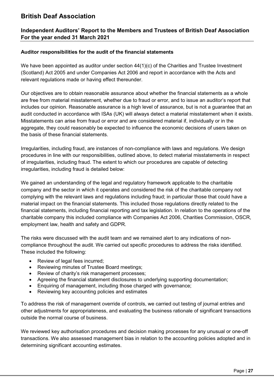## **Independent Auditors' Report to the Members and Trustees of British Deaf Association For the year ended 31 March 2021**

### **Auditor responsibilities for the audit of the financial statements**

We have been appointed as auditor under section  $44(1)(c)$  of the Charities and Trustee Investment (Scotland) Act 2005 and under Companies Act 2006 and report in accordance with the Acts and relevant regulations made or having effect thereunder.

Our objectives are to obtain reasonable assurance about whether the financial statements as a whole are free from material misstatement, whether due to fraud or error, and to issue an auditor's report that includes our opinion. Reasonable assurance is a high level of assurance, but is not a guarantee that an audit conducted in accordance with ISAs (UK) will always detect a material misstatement when it exists. Misstatements can arise from fraud or error and are considered material if, individually or in the aggregate, they could reasonably be expected to influence the economic decisions of users taken on the basis of these financial statements.

Irregularities, including fraud, are instances of non-compliance with laws and regulations. We design procedures in line with our responsibilities, outlined above, to detect material misstatements in respect of irregularities, including fraud. The extent to which our procedures are capable of detecting irregularities, including fraud is detailed below:

We gained an understanding of the legal and regulatory framework applicable to the charitable company and the sector in which it operates and considered the risk of the charitable company not complying with the relevant laws and regulations including fraud; in particular those that could have a material impact on the financial statements. This included those regulations directly related to the financial statements, including financial reporting and tax legislation. In relation to the operations of the charitable company this included compliance with Companies Act 2006, Charities Commission, OSCR, employment law, health and safety and GDPR.

The risks were discussed with the audit team and we remained alert to any indications of noncompliance throughout the audit. We carried out specific procedures to address the risks identified. These included the following:

- Review of legal fees incurred;
- Reviewing minutes of Trustee Board meetings:
- Review of charity's risk management processes:
- Agreeing the financial statement disclosures to underlying supporting documentation;
- Enquiring of management, including those charged with governance;
- Reviewing key accounting policies and estimates

To address the risk of management override of controls, we carried out testing of journal entries and other adjustments for appropriateness, and evaluating the business rationale of significant transactions outside the normal course of business.

We reviewed key authorisation procedures and decision making processes for any unusual or one-off transactions. We also assessed management bias in relation to the accounting policies adopted and in determining significant accounting estimates.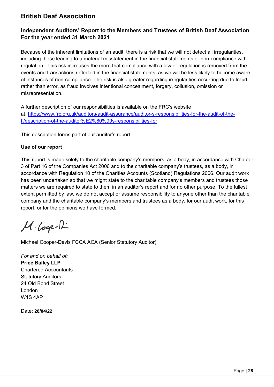## **Independent Auditors' Report to the Members and Trustees of British Deaf Association For the year ended 31 March 2021**

Because of the inherent limitations of an audit, there is a risk that we will not detect all irregularities, including those leading to a material misstatement in the financial statements or non-compliance with regulation. This risk increases the more that compliance with a law or regulation is removed from the events and transactions reflected in the financial statements, as we will be less likely to become aware of instances of non-compliance. The risk is also greater regarding irregularities occurring due to fraud rather than error, as fraud involves intentional concealment, forgery, collusion, omission or misrepresentation.

A further description of our responsibilities is available on the FRC's website at: https://www.frc.org.uk/auditors/audit-assurance/auditor-s-responsibilities-for-the-audit-of-thefi/description-of-the-auditor%E2%80%99s-responsibilities-for

This description forms part of our auditor's report.

### **Use of our report**

This report is made solely to the charitable company's members, as a body, in accordance with Chapter 3 of Part 16 of the Companies Act 2006 and to the charitable company's trustees, as a body, in accordance with Regulation 10 of the Charities Accounts (Scotland) Regulations 2006. Our audit work has been undertaken so that we might state to the charitable company's members and trustees those matters we are required to state to them in an auditor's report and for no other purpose. To the fullest extent permitted by law, we do not accept or assume responsibility to anyone other than the charitable company and the charitable company's members and trustees as a body, for our audit work, for this report, or for the opinions we have formed.

 $M \cdot (992 - 12)$ 

Michael Cooper-Davis FCCA ACA (Senior Statutory Auditor)

*For and on behalf of:* **Price Bailey LLP**  Chartered Accountants Statutory Auditors 24 Old Bond Street London W1S 4AP

Date: **28/04/22**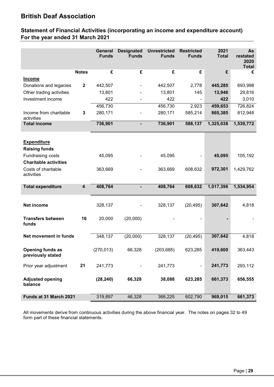## **Statement of Financial Activities (incorporating an income and expenditure account) For the year ended 31 March 2021**

|                                                   |                         | General<br><b>Funds</b> | <b>Designated</b><br><b>Funds</b> | <b>Unrestricted</b><br><b>Funds</b> | <b>Restricted</b><br><b>Funds</b> | 2021<br><b>Total</b> | As<br>restated<br>2020<br><b>Total</b> |
|---------------------------------------------------|-------------------------|-------------------------|-----------------------------------|-------------------------------------|-----------------------------------|----------------------|----------------------------------------|
|                                                   | <b>Notes</b>            | £                       | £                                 | £                                   | £                                 | £                    | £                                      |
| <b>Income</b>                                     |                         |                         |                                   |                                     |                                   |                      |                                        |
| Donations and legacies                            | $\mathbf{2}$            | 442,507                 |                                   | 442,507                             | 2,778                             | 445,285              | 693,998                                |
| Other trading activities                          |                         | 13,801                  |                                   | 13,801                              | 145                               | 13,946               | 29,816                                 |
| Investment income                                 |                         | 422                     |                                   | 422                                 | $\overline{\phantom{a}}$          | 422                  | 3,010                                  |
|                                                   |                         | 456,730                 |                                   | 456,730                             | 2,923                             | 459,653              | 726,824                                |
| Income from charitable<br>activities              | $\mathbf{3}$            | 280,171                 |                                   | 280,171                             | 585,214                           | 865,385              | 812,948                                |
| <b>Total income</b>                               |                         | 736,901                 | ٠                                 | 736,901                             | 588,137                           | 1,325,038            | 1,539,772                              |
|                                                   |                         |                         |                                   |                                     |                                   |                      |                                        |
| <b>Expenditure</b><br><b>Raising funds</b>        |                         |                         |                                   |                                     |                                   |                      |                                        |
| Fundraising costs<br><b>Charitable activities</b> |                         | 45,095                  |                                   | 45,095                              |                                   | 45,095               | 105,192                                |
| Costs of charitable<br>activities                 |                         | 363,669                 |                                   | 363,669                             | 608,632                           | 972,301              | 1,429,762                              |
| <b>Total expenditure</b>                          | $\overline{\mathbf{4}}$ | 408,764                 |                                   | 408,764                             | 608,632                           | 1,017,396            | 1,534,954                              |
|                                                   |                         |                         |                                   |                                     |                                   |                      |                                        |
| Net income                                        |                         | 328,137                 |                                   | 328,137                             | (20, 495)                         | 307,642              | 4,818                                  |
| <b>Transfers between</b><br>funds                 | 16                      | 20,000                  | (20,000)                          |                                     |                                   |                      |                                        |
| Net movement in funds                             |                         | 348,137                 | (20,000)                          | 328,137                             | (20, 495)                         | 307,642              | 4,818                                  |
| <b>Opening funds as</b><br>previously stated      |                         | (270, 013)              | 66,328                            | (203, 685)                          | 623,285                           | 419,600              | 363,443                                |
| Prior year adjustment                             | 21                      | 241,773                 |                                   | 241,773                             |                                   | 241,773              | 293,112                                |
| <b>Adjusted opening</b><br>balance                |                         | (28, 240)               | 66,328                            | 38,088                              | 623,285                           | 661,373              | 656,555                                |
| Funds at 31 March 2021                            |                         | 319,897                 | 46,328                            | 366,225                             | 602,790                           | 969,015              | 661,373                                |

All movements derive from continuous activities during the above financial year. The notes on pages 32 to 49 form part of these financial statements.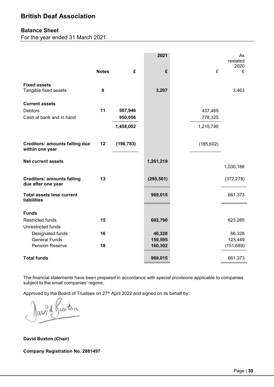## **Balance Sheet**

For the year ended 31 March 2021

|                                                          |              |            | 2021       |            | As<br>restated<br>2020 |
|----------------------------------------------------------|--------------|------------|------------|------------|------------------------|
|                                                          | <b>Notes</b> | £          | £          | £          | £                      |
| <b>Fixed assets</b><br>Tangible fixed assets             | 9            |            | 3,297      |            | 3,463                  |
| <b>Current assets</b>                                    |              |            |            |            |                        |
| <b>Debtors</b>                                           | 11           | 507,946    |            | 437,465    |                        |
| Cash at bank and in hand                                 |              | 950,056    |            | 778,325    |                        |
|                                                          |              | 1,458,002  |            | 1,215,790  |                        |
| <b>Creditors: amounts falling due</b><br>within one year | 12           | (196, 783) |            | (185, 602) |                        |
| <b>Net current assets</b>                                |              |            | 1,261,219  |            | 1,030,188              |
| <b>Creditors: amounts falling</b><br>due after one year  | 13           |            | (295, 501) |            | (372, 278)             |
| <b>Total assets less current</b><br><b>liabilities</b>   |              |            | 969,015    |            | 661,373                |
| <b>Funds</b>                                             |              |            |            |            |                        |
| <b>Restricted funds</b><br><b>Unrestricted funds</b>     | 15           |            | 602,790    |            | 623,285                |
| Designated funds                                         | 16           |            | 46,328     |            | 66,328                 |
| <b>General Funds</b>                                     |              |            | 159,595    |            | 123,449                |
| Pension Reserve                                          | 18           |            | 160,302    |            | (151, 689)             |
| <b>Total funds</b>                                       |              |            | 969,015    |            | 661,373                |

The financial statements have been prepared in accordance with special provisions applicable to companies subject to the small companies' regime.

Approved by the Board of Trustees on 27<sup>th</sup> April 2022 and signed on its behalf by:

 $1000$ 

**David Buxton (Chair)** 

**Company Registration No. 2881497**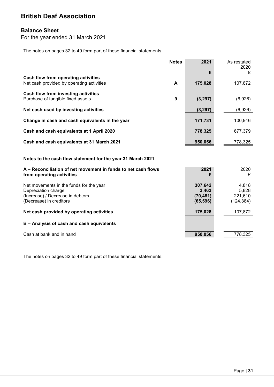### **Balance Sheet**

For the year ended 31 March 2021

The notes on pages 32 to 49 form part of these financial statements.

|                                                                                                                               | <b>Notes</b> | 2021                                       | As restated<br>2020                     |
|-------------------------------------------------------------------------------------------------------------------------------|--------------|--------------------------------------------|-----------------------------------------|
|                                                                                                                               |              | £                                          | £                                       |
| <b>Cash flow from operating activities</b><br>Net cash provided by operating activities                                       | A            | 175,028                                    | 107,872                                 |
| <b>Cash flow from investing activities</b><br>Purchase of tangible fixed assets                                               | 9            | (3, 297)                                   | (6,926)                                 |
| Net cash used by investing activities                                                                                         |              | (3, 297)                                   | (6,926)                                 |
| Change in cash and cash equivalents in the year                                                                               |              | 171,731                                    | 100,946                                 |
| Cash and cash equivalents at 1 April 2020                                                                                     |              | 778,325                                    | 677,379                                 |
| Cash and cash equivalents at 31 March 2021                                                                                    |              | 950,056                                    | 778,325                                 |
| Notes to the cash flow statement for the year 31 March 2021                                                                   |              |                                            |                                         |
| A – Reconciliation of net movement in funds to net cash flows<br>from operating activities                                    |              | 2021<br>£                                  | 2020<br>£                               |
| Net movements in the funds for the year<br>Depreciation charge<br>(Increase) / Decrease in debtors<br>(Decrease) in creditors |              | 307,642<br>3,463<br>(70, 481)<br>(65, 596) | 4,818<br>5,828<br>221,610<br>(124, 384) |
| Net cash provided by operating activities                                                                                     |              | 175,028                                    | 107,872                                 |
| B - Analysis of cash and cash equivalents                                                                                     |              |                                            |                                         |
| Cash at bank and in hand                                                                                                      |              | 950,056                                    | 778,325                                 |

The notes on pages 32 to 49 form part of these financial statements.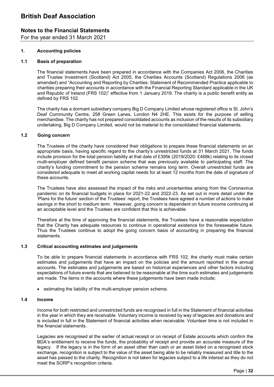### **Notes to the Financial Statements**

For the year ended 31 March 2021

#### **1. Accounting policies**

#### **1.1 Basis of preparation**

The financial statements have been prepared in accordance with the Companies Act 2006, the Charities and Trustee Investment (Scotland) Act 2005, the Charities Accounts (Scotland) Regulations 2006 (as amended) and "Accounting and Reporting by Charities: Statement of Recommended Practice applicable to charities preparing their accounts in accordance with the Financial Reporting Standard applicable in the UK and Republic of Ireland (FRS 102)" effective from 1 January 2019. The charity is a public benefit entity as defined by FRS 102.

The charity has a dormant subsidiary company Big D Company Limited whose registered office is St. John's Deaf Community Centre, 258 Green Lanes, London N4 2HE. This exists for the purpose of selling merchandise. The charity has not prepared consolidated accounts as inclusion of the results of its subsidiary undertaking, Big D Company Limited, would not be material to the consolidated financial statements.

#### **1.2 Going concern**

The Trustees of the charity have considered their obligations to prepare these financial statements on an appropriate basis, having specific regard to the charity's unrestricted funds at 31 March 2021. The funds include provision for the total pension liability at that date of £395k (2019/2020: £468k) relating to its closed multi-employer defined benefit pension scheme that was previously available to participating staff. The charity's funding commitment to the pension scheme remains long term. Overall unrestricted funds are considered adequate to meet all working capital needs for at least 12 months from the date of signature of these accounts.

The Trustees have also assessed the impact of the risks and uncertainties arising from the Coronavirus pandemic on its financial budgets in place for 2021-22 and 2022-23. As set out in more detail under the 'Plans for the future' section of the Trustees' report, the Trustees have agreed a number of actions to make savings in the short to medium term. However, going concern is dependent on future income continuing at an acceptable level and the Trustees are confident that this is achievable.

Therefore at the time of approving the financial statements, the Trustees have a reasonable expectation that the Charity has adequate resources to continue in operational existence for the foreseeable future. Thus the Trustees continue to adopt the going concern basis of accounting in preparing the financial statements.

#### **1.3 Critical accounting estimates and judgements**

 To be able to prepare financial statements in accordance with FRS 102, the charity must make certain estimates and judgements that have an impact on the policies and the amount reported in the annual accounts. The estimates and judgements are based on historical experiences and other factors including expectations of future events that are believed to be reasonable at the time such estimates and judgements are made. The items in the accounts where these judgements have been made include;

estimating the liability of the multi-employer pension scheme.

#### **1.4 Income**

 Income for both restricted and unrestricted funds are recognised in full in the Statement of financial activities in the year in which they are receivable. Voluntary income is received by way of legacies and donations and is included in full in the Statement of financial activities when receivable. Volunteer time is not included in the financial statements.

Legacies are recognised at the earlier of actual receipt or on receipt of Estate accounts which confirm the BDA's entitlement to receive the funds, the probability of receipt and provide an accurate measure of the legacy. If the legacy is in the form of an asset other than cash or an asset listed on a recognised stock exchange, recognition is subject to the value of the asset being able to be reliably measured and title to the asset has passed to the charity. Recognition is not taken for legacies subject to a life interest as they do not meet the SORP's recognition criteria.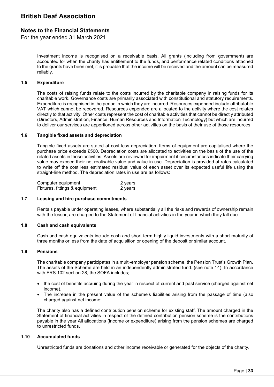### **Notes to the Financial Statements**

For the year ended 31 March 2021

Investment income is recognised on a receivable basis. All grants (including from government) are accounted for when the charity has entitlement to the funds, and performance related conditions attached to the grants have been met, it is probable that the income will be received and the amount can be measured reliably.

#### **1.5 Expenditure**

 The costs of raising funds relate to the costs incurred by the charitable company in raising funds for its charitable work. Governance costs are primarily associated with constitutional and statutory requirements. Expenditure is recognised in the period in which they are incurred. Resources expended include attributable VAT which cannot be recovered. Resources expended are allocated to the activity where the cost relates directly to that activity. Other costs represent the cost of charitable activities that cannot be directly attributed (Directors, Administration, Finance, Human Resources and Information Technology) but which are incurred to deliver our services are apportioned across other activities on the basis of their use of those resources.

#### **1.6 Tangible fixed assets and depreciation**

 Tangible fixed assets are stated at cost less depreciation. Items of equipment are capitalised where the purchase price exceeds £500. Depreciation costs are allocated to activities on the basis of the use of the related assets in those activities. Assets are reviewed for impairment if circumstances indicate their carrying value may exceed their net realisable value and value in use. Depreciation is provided at rates calculated to write off the cost less estimated residual value of each asset over its expected useful life using the straight-line method. The depreciation rates in use are as follows:

| Computer equipment             | 2 years |
|--------------------------------|---------|
| Fixtures, fittings & equipment | 2 years |

#### **1.7 Leasing and hire purchase commitments**

 Rentals payable under operating leases, where substantially all the risks and rewards of ownership remain with the lessor, are charged to the Statement of financial activities in the year in which they fall due.

#### **1.8 Cash and cash equivalents**

 Cash and cash equivalents include cash and short term highly liquid investments with a short maturity of three months or less from the date of acquisition or opening of the deposit or similar account.

#### **1.9 Pensions**

 The charitable company participates in a multi-employer pension scheme, the Pension Trust's Growth Plan. The assets of the Scheme are held in an independently administrated fund. (see note 14). In accordance with FRS 102 section 28, the SOFA includes;

- the cost of benefits accruing during the year in respect of current and past service (charged against net income).
- The increase in the present value of the scheme's liabilities arising from the passage of time (also charged against net income:

 The charity also has a defined contribution pension scheme for existing staff. The amount charged in the Statement of financial activities in respect of the defined contribution pension scheme is the contributions payable in the year All allocations (income or expenditure) arising from the pension schemes are charged to unrestricted funds.

#### **1.10 Accumulated funds**

Unrestricted funds are donations and other income receivable or generated for the objects of the charity.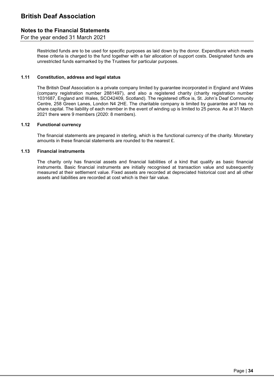### **Notes to the Financial Statements**

For the year ended 31 March 2021

 Restricted funds are to be used for specific purposes as laid down by the donor. Expenditure which meets these criteria is charged to the fund together with a fair allocation of support costs. Designated funds are unrestricted funds earmarked by the Trustees for particular purposes.

#### **1.11 Constitution, address and legal status**

 The British Deaf Association is a private company limited by guarantee incorporated in England and Wales (company registration number 2881497), and also a registered charity (charity registration number 1031687, England and Wales, SCO42409, Scotland). The registered office is, St. John's Deaf Community Centre, 258 Green Lanes, London N4 2HE. The charitable company is limited by guarantee and has no share capital. The liability of each member in the event of winding up is limited to 25 pence. As at 31 March 2021 there were 9 members (2020: 8 members).

#### **1.12 Functional currency**

 The financial statements are prepared in sterling, which is the functional currency of the charity. Monetary amounts in these financial statements are rounded to the nearest £.

#### **1.13 Financial instruments**

 The charity only has financial assets and financial liabilities of a kind that qualify as basic financial instruments. Basic financial instruments are initially recognised at transaction value and subsequently measured at their settlement value. Fixed assets are recorded at depreciated historical cost and all other assets and liabilities are recorded at cost which is their fair value.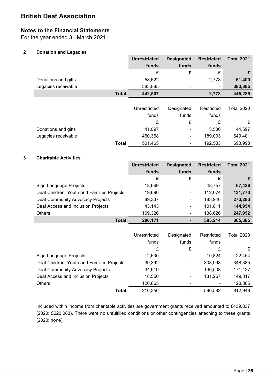## **Notes to the Financial Statements**

For the year ended 31 March 2021

### **2 Donation and Legacies**

|                     | <b>Unrestricted</b>     | <b>Designated</b>        | <b>Restricted</b> | <b>Total 2021</b> |
|---------------------|-------------------------|--------------------------|-------------------|-------------------|
|                     | funds                   | funds                    | funds             |                   |
|                     |                         | £                        | £                 |                   |
| Donations and gifts | 58,622                  | $\blacksquare$           | 2,778             | 61,400            |
| Legacies receivable | 383,885                 | $\overline{\phantom{a}}$ | $\blacksquare$    | 383,885           |
|                     | 442,507<br><b>Total</b> | $\blacksquare$           | 2,778             | 445,285           |

|                     |       | Unrestricted | Designated                   | Restricted | Total 2020 |
|---------------------|-------|--------------|------------------------------|------------|------------|
|                     |       | funds        | funds                        | funds      |            |
|                     |       |              |                              | ₽          |            |
| Donations and gifts |       | 41.097       | $\qquad \qquad \blacksquare$ | 3,500      | 44,597     |
| Legacies receivable |       | 460.368      | $\qquad \qquad \blacksquare$ | 189,033    | 649,401    |
|                     | Total | 501,465      | -                            | 192,533    | 693,998    |

#### **3 Charitable Activities**

|                                            | <b>Unrestricted</b><br>funds | <b>Designated</b><br>funds   | <b>Restricted</b><br>funds | <b>Total 2021</b> |
|--------------------------------------------|------------------------------|------------------------------|----------------------------|-------------------|
|                                            | £                            | £                            | £                          | £                 |
| Sign Language Projects                     | 18,669                       | $\qquad \qquad \blacksquare$ | 48,757                     | 67,426            |
| Deaf Children, Youth and Families Projects | 19,696                       | $\qquad \qquad \blacksquare$ | 112,074                    | 131,770           |
| Deaf Community Advocacy Projects           | 89,337                       | $\blacksquare$               | 183,946                    | 273,283           |
| Deaf Access and Inclusion Projects         | 43,143                       | $\blacksquare$               | 101,811                    | 144,954           |
| <b>Others</b>                              | 109,326                      | $\blacksquare$               | 138,626                    | 247,952           |
| <b>Total</b>                               | 280.171                      | $\blacksquare$               | 585,214                    | 865,385           |

|                                            | Unrestricted<br>funds | Designated<br>funds          | Restricted<br>funds | <b>Total 2020</b> |
|--------------------------------------------|-----------------------|------------------------------|---------------------|-------------------|
|                                            | £                     | £                            | £                   | £                 |
| Sign Language Projects                     | 2,630                 | $\overline{\phantom{0}}$     | 19.824              | 22,454            |
| Deaf Children, Youth and Families Projects | 39,392                | $\overline{\phantom{a}}$     | 308,993             | 348,385           |
| Deaf Community Advocacy Projects           | 34,919                | $\qquad \qquad \blacksquare$ | 136,508             | 171,427           |
| Deaf Access and Inclusion Projects         | 18,550                | $\overline{\phantom{a}}$     | 131,267             | 149,817           |
| <b>Others</b>                              | 120,865               |                              |                     | 120,865           |
| Total                                      | 216,356               | $\overline{\phantom{0}}$     | 596,592             | 812,948           |

 Included within income from charitable activities are government grants received amounted to £439,837 (2020: £220,083). There were no unfulfilled conditions or other contingencies attaching to these grants (2020: none).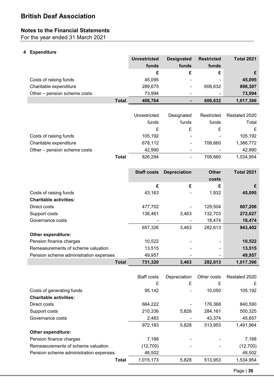## **Notes to the Financial Statements**

For the year ended 31 March 2021

### **4 Expenditure**

|                              |       | <b>Unrestricted</b><br>funds | <b>Designated</b><br>funds | <b>Restricted</b><br>funds | <b>Total 2021</b> |
|------------------------------|-------|------------------------------|----------------------------|----------------------------|-------------------|
|                              |       | £                            |                            | £                          |                   |
| Costs of raising funds       |       | 45,095                       | -                          | $\overline{\phantom{a}}$   | 45,095            |
| Charitable expenditure       |       | 289,675                      | ۰                          | 608.632                    | 898,307           |
| Other - pension scheme costs |       | 73,994                       | $\overline{\phantom{0}}$   | $\overline{\phantom{0}}$   | 73,994            |
|                              | Total | 408,764                      |                            | 608,632                    | 1,017,396         |

|                              |       | Unrestricted | Designated                   | Restricted               | Restated 2020 |
|------------------------------|-------|--------------|------------------------------|--------------------------|---------------|
|                              |       | funds        | funds                        | funds                    | Total         |
|                              |       | £            | ₽                            |                          | £             |
| Costs of raising funds       |       | 105,192      | $\overline{\phantom{0}}$     | $\overline{\phantom{0}}$ | 105,192       |
| Charitable expenditure       |       | 678,112      | $\qquad \qquad \blacksquare$ | 708.660                  | 1,386,772     |
| Other - pension scheme costs |       | 42,990       | $\overline{\phantom{0}}$     | -                        | 42,990        |
|                              | Total | 826,294      |                              | 708.660                  | 1,534,954     |

|                                        | <b>Staff costs</b>      | <b>Depreciation</b> | <b>Other</b><br>costs    | <b>Total 2021</b> |
|----------------------------------------|-------------------------|---------------------|--------------------------|-------------------|
|                                        | £                       | £                   | £                        | £                 |
| Costs of raising funds                 | 43,163                  |                     | 1,932                    | 45,095            |
| <b>Charitable activities:</b>          |                         |                     |                          |                   |
| Direct costs                           | 477,702                 |                     | 129,504                  | 607,206           |
| Support costs                          | 136,461                 | 3,463               | 132,703                  | 272,627           |
| Governance costs                       | ٠                       |                     | 18,474                   | 18,474            |
|                                        | 657,326                 | 3,463               | 282,613                  | 943,402           |
| <b>Other expenditure:</b>              |                         |                     |                          |                   |
| Pension finance charges                | 10,522                  |                     |                          | 10,522            |
| Remeasurements of scheme valuation     | 13,515                  |                     |                          | 13,515            |
| Pension scheme administration expenses | 49,957                  |                     | $\overline{\phantom{a}}$ | 49,957            |
|                                        | <b>Total</b><br>731,320 | 3,463               | 282,613                  | 1,017,396         |

|                                        | Staff costs | Depreciation | Other costs              | Restated 2020 |
|----------------------------------------|-------------|--------------|--------------------------|---------------|
|                                        | £           | £            | £                        | £             |
| Costs of generating funds              | 95,142      |              | 10.050                   | 105,192       |
| <b>Charitable activities:</b>          |             |              |                          |               |
| Direct costs                           | 664,222     |              | 176,368                  | 840,590       |
| Support costs                          | 210,336     | 5,828        | 284,161                  | 500,325       |
| Governance costs                       | 2,483       |              | 43,374                   | 45,857        |
|                                        | 972,183     | 5,828        | 513,953                  | 1,491,964     |
| <b>Other expenditure:</b>              |             |              |                          |               |
| Pension finance charges                | 7,188       |              | $\overline{\phantom{a}}$ | 7,188         |
| Remeasurements of scheme valuation     | (12,700)    |              | $\overline{\phantom{a}}$ | (12,700)      |
| Pension scheme administration expenses | 48,502      |              |                          | 48,502        |
| Total                                  | 1,015,173   | 5,828        | 513,953                  | 1,534,954     |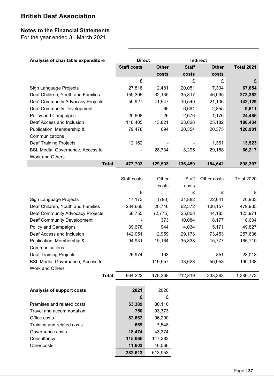## **Notes to the Financial Statements**

For the year ended 31 March 2021

| Analysis of charitable expenditure | <b>Direct</b>      |              |              | <b>Indirect</b> |                   |
|------------------------------------|--------------------|--------------|--------------|-----------------|-------------------|
|                                    | <b>Staff costs</b> | <b>Other</b> | <b>Staff</b> | <b>Other</b>    | <b>Total 2021</b> |
|                                    |                    | costs        | costs        | costs           |                   |
|                                    | £                  |              | £            | £               | £                 |
| Sign Language Projects             | 27,818             | 12,481       | 20,051       | 7,304           | 67,654            |
| Deaf Children, Youth and Families  | 159,305            | 32,135       | 35,817       | 46,095          | 273,352           |
| Deaf Community Advocacy Projects   | 59,927             | 41,547       | 19,549       | 21,106          | 142,129           |
| <b>Deaf Community Development</b>  |                    | 65           | 6,691        | 2,855           | 9,611             |
| Policy and Campaigns               | 20,608             | 26           | 2,676        | 1,176           | 24,486            |
| Deaf Access and Inclusion          | 118,405            | 13,821       | 23,026       | 25,182          | 180,434           |
| Publication, Membership &          | 79,478             | 694          | 20,354       | 20,375          | 120,901           |
| Communications                     |                    |              |              |                 |                   |
| <b>Deaf Training Projects</b>      | 12,162             |              |              | 1,361           | 13,523            |
| BSL Media, Governance, Access to   |                    | 28,734       | 8,295        | 29,188          | 66,217            |
| Work and Others                    |                    |              |              |                 |                   |
| <b>Total</b>                       | 477,703            | 129,503      | 136,459      | 154,642         | 898,307           |
|                                    |                    |              |              |                 |                   |
|                                    | Staff costs        | Other        | <b>Staff</b> | Other costs     | <b>Total 2020</b> |
|                                    |                    | costs        | costs        |                 |                   |
|                                    | £                  |              | £            | £               | £                 |
| Sign Language Projects             | 17,173             | (793)        | 31,882       | 22,641          | 70,903            |
| Deaf Children, Youth and Families  | 284,660            | 26,746       | 62,372       | 106,157         | 479,935           |
| Deaf Community Advocacy Projects   | 58,755             | (2,775)      | 25,808       | 44,183          | 125,971           |
| <b>Deaf Community Development</b>  |                    | 373          | 10,084       | 8,177           | 18,634            |
| Policy and Campaigns               | 39,678             | 944          | 4,034        | 5,171           | 49,827            |
| Deaf Access and Inclusion          | 142,051            | 12,959       | 29,173       | 73,453          | 257,636           |
| Publication, Membership &          | 94,931             | 19,164       | 35,838       | 15,777          | 165,710           |
| Communications                     |                    |              |              |                 |                   |
| <b>Deaf Training Projects</b>      | 26,974             | 193          |              | 851             | 28,018            |
| BSL Media, Governance, Access to   |                    | 119,557      | 13,628       | 56,953          | 190,138           |
| Work and Others                    |                    |              |              |                 |                   |
| <b>Total</b>                       | 664,222            | 176,368      | 212,819      | 333,363         | 1,386,772         |
|                                    |                    |              |              |                 |                   |
| Analysis of support costs          | 2021               | 2020         |              |                 |                   |
|                                    | £                  | £            |              |                 |                   |
| Premises and related costs         | 53,389             | 80,110       |              |                 |                   |
| Travel and accommodation           | 750                | 93,373       |              |                 |                   |
| Office costs                       | 82,662             | 96,200       |              |                 |                   |
| Training and related costs         | 669                | 7,548        |              |                 |                   |
| Governance costs                   | 18,474             | 43,374       |              |                 |                   |
| Consultancy                        | 115,066            | 147,282      |              |                 |                   |
| Other costs                        | 11,603             | 46,066       |              |                 |                   |
|                                    | 282,613            | 513,953      |              |                 |                   |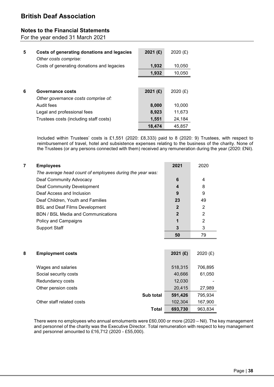## **Notes to the Financial Statements**

For the year ended 31 March 2021

| 5 | Costs of generating donations and legacies<br>Other costs comprise: | 2021(f)    | $2020$ (£) |
|---|---------------------------------------------------------------------|------------|------------|
|   | Costs of generating donations and legacies                          | 1,932      | 10,050     |
|   |                                                                     | 1,932      | 10,050     |
|   |                                                                     |            |            |
| 6 | Governance costs                                                    | 2021 $(f)$ | 2020 $(E)$ |
|   | Other governance costs comprise of:                                 |            |            |
|   | Audit fees                                                          | 8,000      | 10,000     |
|   | Legal and professional fees                                         | 8,923      | 11,673     |
|   | Trustees costs (including staff costs)                              | 1,551      | 24,184     |
|   |                                                                     | 18,474     | 45,857     |

Included within Trustees' costs is £1,551 (2020: £8,333) paid to 8 (2020: 9) Trustees, with respect to reimbursement of travel, hotel and subsistence expenses relating to the business of the charity. None of the Trustees (or any persons connected with them) received any remuneration during the year (2020: £Nil).

| 7 | <b>Employees</b>                                         | 2021         | 2020           |
|---|----------------------------------------------------------|--------------|----------------|
|   | The average head count of employees during the year was: |              |                |
|   | Deaf Community Advocacy                                  | 6            | 4              |
|   | Deaf Community Development                               | 4            | 8              |
|   | Deaf Access and Inclusion                                | 9            | 9              |
|   | Deaf Children, Youth and Families                        | 23           | 49             |
|   | <b>BSL and Deaf Films Development</b>                    | $\mathbf{2}$ | $\overline{2}$ |
|   | <b>BDN / BSL Media and Communications</b>                | $\mathbf{2}$ | 2              |
|   | Policy and Campaigns                                     |              | $\overline{2}$ |
|   | <b>Support Staff</b>                                     | 3            | 3              |
|   |                                                          | 50           | 79             |
|   |                                                          |              |                |
| 8 | <b>Employment costs</b>                                  | 2021 (E)     | 2020 $(E)$     |
|   | Wages and salaries                                       | 518,315      | 706,895        |
|   | Social security costs                                    | 40,666       | 61,050         |
|   | Redundancy costs                                         | 12,030       |                |
|   | Other pension costs                                      | 20,415       | 27,989         |
|   | Sub total                                                | 591,426      | 795,934        |
|   | Other staff related costs                                | 102,304      | 167,900        |
|   | <b>Total</b>                                             | 693,730      | 963,834        |

There were no employees who annual emoluments were £60,000 or more (2020 – Nil). The key management and personnel of the charity was the Executive Director. Total remuneration with respect to key management and personnel amounted to £16,712 (2020 - £55,000).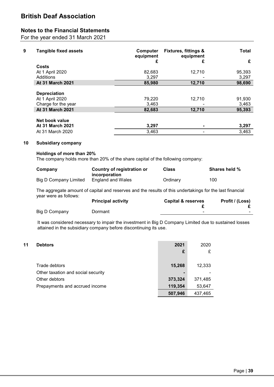## **Notes to the Financial Statements**

For the year ended 31 March 2021

| 9 | <b>Tangible fixed assets</b> | Computer<br>equipment | <b>Fixtures, fittings &amp;</b><br>equipment | Total  |
|---|------------------------------|-----------------------|----------------------------------------------|--------|
|   |                              | £                     | £                                            | £      |
|   | Costs                        |                       |                                              |        |
|   | At 1 April 2020              | 82,683                | 12,710                                       | 95,393 |
|   | Additions                    | 3,297                 |                                              | 3,297  |
|   | <b>At 31 March 2021</b>      | 85,980                | 12,710                                       | 98,690 |
|   |                              |                       |                                              |        |
|   | <b>Depreciation</b>          |                       |                                              |        |
|   | At 1 April 2020              | 79,220                | 12,710                                       | 91,930 |
|   | Charge for the year          | 3,463                 |                                              | 3,463  |
|   | <b>At 31 March 2021</b>      | 82,683                | 12,710                                       | 95,393 |
|   | Net book value               |                       |                                              |        |
|   | <b>At 31 March 2021</b>      | 3,297                 | ۰                                            | 3,297  |
|   | At 31 March 2020             | 3,463                 |                                              | 3,463  |

#### **10 Subsidiary company**

#### **Holdings of more than 20%**

The company holds more than 20% of the share capital of the following company:

| Company               | Country of registration or<br>incorporation | Class    | <b>Shares held %</b> |
|-----------------------|---------------------------------------------|----------|----------------------|
| Big D Company Limited | England and Wales                           | Ordinary | 100                  |

The aggregate amount of capital and reserves and the results of this undertakings for the last financial year were as follows:

|               | <b>Principal activity</b> | <b>Capital &amp; reserves</b> | Profit / (Loss) |
|---------------|---------------------------|-------------------------------|-----------------|
|               |                           |                               |                 |
| Big D Company | Dormant                   | -                             |                 |

It was considered necessary to impair the investment in Big D Company Limited due to sustained losses attained in the subsidiary company before discontinuing its use.

| 11 | <b>Debtors</b>                     | 2021    | 2020    |
|----|------------------------------------|---------|---------|
|    |                                    | £       | £       |
|    |                                    |         |         |
|    | Trade debtors                      | 15,268  | 12,333  |
|    | Other taxation and social security |         |         |
|    | Other debtors                      | 373,324 | 371,485 |
|    | Prepayments and accrued income     | 119,354 | 53,647  |
|    |                                    | 507,946 | 437,465 |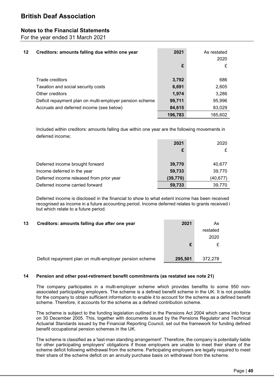### **Notes to the Financial Statements**

For the year ended 31 March 2021

| $12 \,$ | Creditors: amounts falling due within one year          | 2021    | As restated<br>2020 |
|---------|---------------------------------------------------------|---------|---------------------|
|         |                                                         | £       | £                   |
|         | Trade creditors                                         | 3,792   | 686                 |
|         | Taxation and social security costs                      | 6,691   | 2,605               |
|         | Other creditors                                         | 1,974   | 3,286               |
|         | Deficit repayment plan on multi-employer pension scheme | 99,711  | 95,996              |
|         | Accruals and deferred income (see below)                | 84,615  | 83,029              |
|         |                                                         | 196,783 | 185,602             |

Included within creditors: amounts falling due within one year are the following movements in deferred income;

|                                          | 2021      | 2020      |
|------------------------------------------|-----------|-----------|
|                                          |           |           |
|                                          |           |           |
| Deferred income brought forward          | 39,770    | 40,677    |
| Income deferred in the year              | 59,733    | 39,770    |
| Deferred income released from prior year | (39, 770) | (40, 677) |
| Deferred income carried forward          | 59,733    | 39,770    |

Deferred income is disclosed in the financial to show to what extent income has been received recognised as income in a future accounting period. Income deferred relates to grants received i but which relate to a future period.

| 13 | Creditors: amounts falling due after one year           | 2021    | As       |
|----|---------------------------------------------------------|---------|----------|
|    |                                                         |         | restated |
|    |                                                         |         | 2020     |
|    |                                                         |         |          |
|    |                                                         |         |          |
|    | Deficit repayment plan on multi-employer pension scheme | 295,501 | 372.278  |

#### **14 Pension and other post-retirement benefit commitments (as restated see note 21)**

The company participates in a multi-employer scheme which provides benefits to some 950 nonassociated participating employers. The scheme is a defined benefit scheme in the UK. It is not possible for the company to obtain sufficient information to enable it to account for the scheme as a defined benefit scheme. Therefore, it accounts for the scheme as a defined contribution scheme.

The scheme is subject to the funding legislation outlined in the Pensions Act 2004 which came into force on 30 December 2005. This, together with documents issued by the Pensions Regulator and Technical Actuarial Standards issued by the Financial Reporting Council, set out the framework for funding defined benefit occupational pension schemes in the UK.

The scheme is classified as a 'last-man standing arrangement'. Therefore, the company is potentially liable for other participating employers' obligations if those employers are unable to meet their share of the scheme deficit following withdrawal from the scheme. Participating employers are legally required to meet their share of the scheme deficit on an annuity purchase basis on withdrawal from the scheme.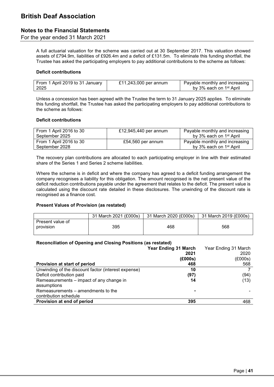### **Notes to the Financial Statements**

For the year ended 31 March 2021

A full actuarial valuation for the scheme was carried out at 30 September 2017. This valuation showed assets of £794.9m, liabilities of £926.4m and a deficit of £131.5m. To eliminate this funding shortfall, the Trustee has asked the participating employers to pay additional contributions to the scheme as follows:

#### **Deficit contributions**

| From 1 April 2019 to 31 January<br>£11,243,000 per annum<br>2025<br>by 3% each on 1 <sup>st</sup> April |  |  | Payable monthly and increasing |
|---------------------------------------------------------------------------------------------------------|--|--|--------------------------------|
|---------------------------------------------------------------------------------------------------------|--|--|--------------------------------|

Unless a concession has been agreed with the Trustee the term to 31 January 2025 applies. To eliminate this funding shortfall, the Trustee has asked the participating employers to pay additional contributions to the scheme as follows:

#### **Deficit contributions**

| From 1 April 2016 to 30 | £12,945,440 per annum | Payable monthly and increasing      |
|-------------------------|-----------------------|-------------------------------------|
| September 2025          |                       | by 3% each on 1 <sup>st</sup> April |
| From 1 April 2016 to 30 | £54,560 per annum     | Payable monthly and increasing      |
| September 2028          |                       | by 3% each on 1 <sup>st</sup> April |

The recovery plan contributions are allocated to each participating employer in line with their estimated share of the Series 1 and Series 2 scheme liabilities.

Where the scheme is in deficit and where the company has agreed to a deficit funding arrangement the company recognises a liability for this obligation. The amount recognised is the net present value of the deficit reduction contributions payable under the agreement that relates to the deficit. The present value is calculated using the discount rate detailed in these disclosures. The unwinding of the discount rate is recognised as a finance cost.

#### **Present Values of Provision (as restated)**

|                               | 31 March 2021 (£000s) | 31 March 2020 (£000s) | 31 March 2019 (£000s) |
|-------------------------------|-----------------------|-----------------------|-----------------------|
| Present value of<br>provision | 395                   | 468                   | 568                   |

#### **Reconciliation of Opening and Closing Positions (as restated)**

|                                                             | <b>Year Ending 31 March</b> | Year Ending 31 March |
|-------------------------------------------------------------|-----------------------------|----------------------|
|                                                             | 2021                        | 2020                 |
|                                                             | (£000s)                     | (E000s)              |
| Provision at start of period                                | 468                         | 568                  |
| Unwinding of the discount factor (interest expense)         | 10                          |                      |
| Deficit contribution paid                                   | (97)                        | (94)                 |
| Remeasurements – impact of any change in<br>assumptions     | 14                          | (13)                 |
| Remeasurements – amendments to the<br>contribution schedule |                             |                      |
| Provision at end of period                                  | 395                         | 468                  |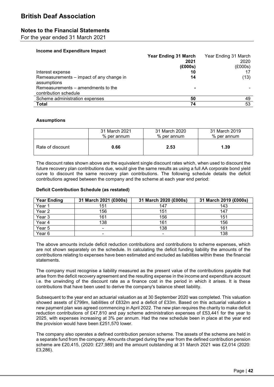### **Notes to the Financial Statements**

For the year ended 31 March 2021

| Income and Expenditure Impact |
|-------------------------------|
|-------------------------------|

|                                                             | <b>Year Ending 31 March</b> | Year Ending 31 March |
|-------------------------------------------------------------|-----------------------------|----------------------|
|                                                             | 2021                        | 2020                 |
|                                                             | (E000s)                     | (E000s)              |
| Interest expense                                            | 10                          |                      |
| Remeasurements – impact of any change in<br>assumptions     | 14                          | (13)                 |
| Remeasurements – amendments to the<br>contribution schedule |                             |                      |
| Scheme administration expenses                              | 50                          | 49                   |
| Total                                                       |                             | 53                   |

#### **Assumptions**

|                  | 31 March 2021 | 31 March 2020 | 31 March 2019 |
|------------------|---------------|---------------|---------------|
|                  | % per annum   | $%$ per annum | % per annum   |
| Rate of discount | 0.66          | 2.53          | 1.39          |

The discount rates shown above are the equivalent single discount rates which, when used to discount the future recovery plan contributions due, would give the same results as using a full AA corporate bond yield curve to discount the same recovery plan contributions. The following schedule details the deficit contributions agreed between the company and the scheme at each year end period:

#### **Deficit Contribution Schedule (as restated)**

| <b>Year Ending</b> | 31 March 2021 (£000s) | 31 March 2020 (£000s)    | 31 March 2019 (£000s) |
|--------------------|-----------------------|--------------------------|-----------------------|
| Year 1             | 151                   | 147                      | 143                   |
| Year <sub>2</sub>  | 156                   | 151                      | 147                   |
| Year <sub>3</sub>  | 161                   | 156                      | 151                   |
| Year 4             | 138                   | 161                      | 156                   |
| Year 5             |                       | 138                      | 161                   |
| Year <sub>6</sub>  |                       | $\overline{\phantom{0}}$ | 138                   |

The above amounts include deficit reduction contributions and contributions to scheme expenses, which are not shown separately on the schedule. In calculating the deficit funding liability the amounts of the contributions relating to expenses have been estimated and excluded as liabilities within these the financial statements.

The company must recognise a liability measured as the present value of the contributions payable that arise from the deficit recovery agreement and the resulting expense in the income and expenditure account i.e. the unwinding of the discount rate as a finance cost in the period in which it arises. It is these contributions that have been used to derive the company's balance sheet liability.

Subsequent to the year end an actuarial valuation as at 30 September 2020 was completed. This valuation showed assets of £799m, liabilities of £832m and a deficit of £33m. Based on this actuarial valuation a new payment plan was agreed commencing in April 2022. The new plan requires the charity to make deficit reduction contributions of £47,810 and pay scheme administration expenses of £53,441 for the year to 2025, with expenses increasing at 3% per annum. Had the new schedule been in place at the year end the provision would have been £251,570 lower.

The company also operates a defined contribution pension scheme. The assets of the scheme are held in a separate fund from the company. Amounts charged during the year from the defined contribution pension scheme are £20,415, (2020: £27,989) and the amount outstanding at 31 March 2021 was £2,014 (2020: £3,286).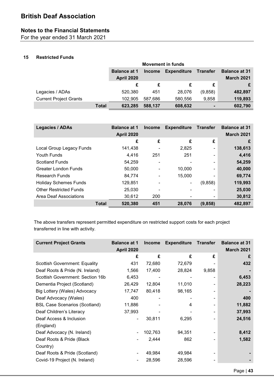### **Notes to the Financial Statements**

For the year ended 31 March 2021

#### **15 Restricted Funds**

|                               | <b>Movement in funds</b>                 |               |                    |                 |                                           |  |  |  |
|-------------------------------|------------------------------------------|---------------|--------------------|-----------------|-------------------------------------------|--|--|--|
|                               | <b>Balance at 1</b><br><b>April 2020</b> | <b>Income</b> | <b>Expenditure</b> | <b>Transfer</b> | <b>Balance at 31</b><br><b>March 2021</b> |  |  |  |
|                               | £                                        | £             |                    | £               |                                           |  |  |  |
| Legacies / ADAs               | 520,380                                  | 451           | 28,076             | (9,858)         | 482,897                                   |  |  |  |
| <b>Current Project Grants</b> | 102.905                                  | 587.686       | 580,556            | 9,858           | 119,893                                   |  |  |  |
|                               | <b>Total</b><br>623,285                  | 588.137       | 608,632            |                 | 602,790                                   |  |  |  |

| <b>Legacies / ADAs</b>        | <b>Balance at 1</b><br><b>April 2020</b> | <b>Income</b>            | <b>Expenditure</b> | <b>Transfer</b>          | <b>Balance at 31</b><br><b>March 2021</b> |
|-------------------------------|------------------------------------------|--------------------------|--------------------|--------------------------|-------------------------------------------|
|                               | £                                        | £                        | £                  | £                        | £                                         |
| Local Group Legacy Funds      | 141,438                                  | $\overline{\phantom{a}}$ | 2,825              | $\overline{\phantom{a}}$ | 138,613                                   |
| Youth Funds                   | 4,416                                    | 251                      | 251                | -                        | 4,416                                     |
| Scotland Funds                | 54.259                                   | $\overline{\phantom{0}}$ |                    | $\overline{\phantom{a}}$ | 54,259                                    |
| Greater London Funds          | 50,000                                   | -                        | 10.000             | -                        | 40,000                                    |
| Research Funds                | 84.774                                   | $\overline{\phantom{a}}$ | 15,000             | $\overline{\phantom{a}}$ | 69,774                                    |
| <b>Holiday Schemes Funds</b>  | 129,851                                  |                          | -                  | (9,858)                  | 119,993                                   |
| <b>Other Restricted Funds</b> | 25,030                                   | -                        |                    | $\overline{\phantom{a}}$ | 25,030                                    |
| Area Deaf Associations        | 30,612                                   | 200                      | -                  | $\overline{\phantom{a}}$ | 30,812                                    |
| <b>Total</b>                  | 520,380                                  | 451                      | 28,076             | (9,858)                  | 482,897                                   |

The above transfers represent permitted expenditure on restricted support costs for each project transferred in line with activity.

| <b>Current Project Grants</b>         | <b>Balance at 1</b><br><b>April 2020</b> | <b>Income</b> | <b>Expenditure Transfer</b> |                              | <b>Balance at 31</b><br>March 2021 |
|---------------------------------------|------------------------------------------|---------------|-----------------------------|------------------------------|------------------------------------|
|                                       | £                                        | £             | £                           | £                            | £                                  |
| <b>Scottish Government: Equality</b>  | 431                                      | 72,680        | 72,679                      |                              | 432                                |
| Deaf Roots & Pride (N. Ireland)       | 1,566                                    | 17,400        | 28,824                      | 9,858                        |                                    |
| Scottish Government: Section 16b      | 6,453                                    |               |                             | -                            | 6,453                              |
| Dementia Project (Scotland)           | 26,429                                   | 12,804        | 11,010                      | -                            | 28,223                             |
| Big Lottery (Wales) Advocacy          | 17,747                                   | 80,418        | 98,165                      |                              |                                    |
| Deaf Advocacy (Wales)                 | 400                                      |               |                             |                              | 400                                |
| <b>BSL Case Scenarios (Scotland)</b>  | 11,886                                   |               | 4                           | $\qquad \qquad \blacksquare$ | 11,882                             |
| Deaf Children's Literacy              | 37,993                                   |               |                             | $\overline{\phantom{a}}$     | 37,993                             |
| Deaf Access & Inclusion<br>(England)  | $\overline{\phantom{a}}$                 | 30,811        | 6,295                       | $\qquad \qquad \blacksquare$ | 24,516                             |
| Deaf Advocacy (N. Ireland)            |                                          | 102,763       | 94,351                      |                              | 8,412                              |
| Deaf Roots & Pride (Black<br>Country) |                                          | 2,444         | 862                         |                              | 1,582                              |
| Deaf Roots & Pride (Scotland)         |                                          | 49,984        | 49,984                      |                              |                                    |
| Covid-19 Project (N. Ireland)         |                                          | 28,596        | 28,596                      |                              |                                    |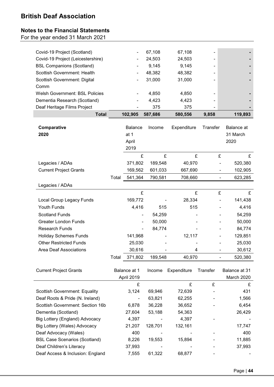## **Notes to the Financial Statements**

For the year ended 31 March 2021

| Covid-19 Project (Scotland)           |       |                              | 67,108  | 67,108      |                |               |
|---------------------------------------|-------|------------------------------|---------|-------------|----------------|---------------|
| Covid-19 Project (Leicestershire)     |       |                              | 24,503  | 24,503      |                |               |
| <b>BSL Companions (Scotland)</b>      |       |                              | 9,145   | 9,145       |                |               |
| Scottish Government: Health           |       |                              | 48,382  | 48,382      |                |               |
| Scottish Government: Digital          |       |                              | 31,000  | 31,000      |                |               |
| Comm                                  |       |                              |         |             |                |               |
| <b>Welsh Government: BSL Policies</b> |       |                              | 4,850   | 4,850       |                |               |
| Dementia Research (Scotland)          |       |                              | 4,423   | 4,423       |                |               |
| Deaf Heritage Films Project           |       |                              | 375     | 375         |                |               |
| <b>Total</b>                          |       | 102,905                      | 587,686 | 580,556     | 9,858          | 119,893       |
|                                       |       |                              |         |             |                |               |
| Comparative                           |       | <b>Balance</b>               | Income  | Expenditure | Transfer       | Balance at    |
| 2020                                  |       | at 1                         |         |             |                | 31 March      |
|                                       |       | April                        |         |             |                | 2020          |
|                                       |       | 2019                         |         |             |                |               |
|                                       |       | £                            | £       |             | £<br>£         | £             |
| Legacies / ADAs                       |       | 371,802                      | 189,548 | 40,970      |                | 520,380       |
| <b>Current Project Grants</b>         |       | 169,562                      | 601,033 | 667,690     | $\blacksquare$ | 102,905       |
|                                       | Total | 541,364                      | 790,581 | 708,660     |                | 623,285       |
| Legacies / ADAs                       |       |                              |         |             |                |               |
|                                       |       | £                            |         |             | £<br>£         | £             |
| Local Group Legacy Funds              |       | 169,772                      |         | 28,334      |                | 141,438       |
| Youth Funds                           |       | 4,416                        | 515     | 515         |                | 4,416         |
| <b>Scotland Funds</b>                 |       | $\blacksquare$               | 54,259  |             |                | 54,259        |
| <b>Greater London Funds</b>           |       | -                            | 50,000  |             |                | 50,000        |
| <b>Research Funds</b>                 |       | $\overline{\phantom{0}}$     | 84,774  |             |                | 84,774        |
| <b>Holiday Schemes Funds</b>          |       | 141,968                      |         | 12,117      |                | 129,851       |
| <b>Other Restricted Funds</b>         |       | 25,030                       |         |             |                | 25,030        |
| <b>Area Deaf Associations</b>         |       | 30,616                       |         |             | 4              | 30,612        |
|                                       | Total | 371,802                      | 189,548 | 40,970      |                | 520,380       |
|                                       |       |                              |         |             |                |               |
| <b>Current Project Grants</b>         |       | Balance at 1                 | Income  | Expenditure | Transfer       | Balance at 31 |
|                                       |       | April 2019                   |         |             |                | March 2020    |
|                                       |       | £                            |         | £           | £              | £             |
| <b>Scottish Government: Equality</b>  |       | 3,124                        | 69,946  | 72,639      |                | 431           |
| Deaf Roots & Pride (N. Ireland)       |       | $\qquad \qquad \blacksquare$ | 63,821  | 62,255      |                | 1,566         |
| Scottish Government: Section 16b      |       | 6,878                        | 36,228  | 36,652      |                | 6,454         |
| Dementia (Scotland)                   |       | 27,604                       | 53,188  | 54,363      |                | 26,429        |
| Big Lottery (England) Advocacy        |       | 4,397                        |         | 4,397       |                |               |
| Big Lottery (Wales) Advocacy          |       | 21,207                       | 128,701 | 132,161     |                | 17,747        |
| Deaf Advocacy (Wales)                 |       | 400                          |         |             |                | 400           |
| <b>BSL Case Scenarios (Scotland)</b>  |       | 8,226                        | 19,553  | 15,894      |                | 11,885        |
| Deaf Children's Literacy              |       | 37,993                       |         |             |                | 37,993        |
| Deaf Access & Inclusion: England      |       | 7,555                        | 61,322  | 68,877      |                |               |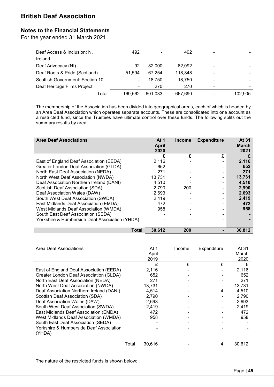### **Notes to the Financial Statements**

For the year ended 31 March 2021

| 492                      |         | 492     | - |         |
|--------------------------|---------|---------|---|---------|
|                          |         |         |   |         |
| 92                       | 82,000  | 82.092  | - |         |
| 51.594                   | 67.254  | 118,848 |   |         |
| $\overline{\phantom{a}}$ | 18,750  | 18,750  | - |         |
| $\overline{\phantom{a}}$ | 270     | 270     |   |         |
| 169.562                  | 601,033 | 667,690 |   | 102.905 |
|                          |         |         |   |         |

The membership of the Association has been divided into geographical areas, each of which is headed by an Area Deaf Association which operates separate accounts. These are consolidated into one account as a restricted fund, since the Trustees have ultimate control over these funds. The following splits out the summary results by area.

| <b>Area Deaf Associations</b>                  | At $1$<br><b>April</b><br>2020 | <b>Income</b> | <b>Expenditure</b> | At 31<br><b>March</b><br>2021 |
|------------------------------------------------|--------------------------------|---------------|--------------------|-------------------------------|
|                                                | £                              | £             | £                  | £                             |
| East of England Deaf Association (EEDA)        | 2,116                          |               |                    | 2,116                         |
| Greater London Deaf Association (GLDA)         | 652                            |               |                    | 652                           |
| North East Deaf Association (NEDA)             | 271                            |               |                    | 271                           |
| North West Deaf Association (NWDA)             | 13,731                         |               |                    | 13,731                        |
| Deaf Association Northern Ireland (DANI)       | 4,510                          |               |                    | 4,510                         |
| <b>Scottish Deaf Association (SDA)</b>         | 2,790                          | 200           |                    | 2,990                         |
| Deaf Association Wales (DAW)                   | 2,693                          |               |                    | 2,693                         |
| South West Deaf Association (SWDA)             | 2,419                          |               |                    | 2,419                         |
| East Midlands Deaf Association (EMDA)          | 472                            |               |                    | 472                           |
| <b>West Midlands Deaf Association (WMDA)</b>   | 958                            |               |                    | 958                           |
| South East Deaf Association (SEDA)             |                                |               |                    |                               |
| Yorkshire & Humberside Deaf Association (YHDA) |                                |               |                    |                               |
| Total                                          | 30,612                         | 200           |                    | 30.812                        |

| Area Deaf Associations                            |       | At 1   | Income | Expenditure | At 31  |
|---------------------------------------------------|-------|--------|--------|-------------|--------|
|                                                   |       | April  |        |             | March  |
|                                                   |       | 2019   |        |             | 2020   |
|                                                   |       | £      | £      | £           | £      |
| East of England Deaf Association (EEDA)           |       | 2,116  |        |             | 2,116  |
| Greater London Deaf Association (GLDA)            |       | 652    |        |             | 652    |
| North East Deaf Association (NEDA)                |       | 271    |        |             | 271    |
| North West Deaf Association (NWDA)                |       | 13,731 |        |             | 13,731 |
| Deaf Association Northern Ireland (DANI)          |       | 4,514  |        |             | 4,510  |
| Scottish Deaf Association (SDA)                   |       | 2,790  |        |             | 2,790  |
| Deaf Association Wales (DAW)                      |       | 2,693  |        |             | 2,693  |
| South West Deaf Association (SWDA)                |       | 2,419  |        |             | 2,419  |
| East Midlands Deaf Association (EMDA)             |       | 472    |        |             | 472    |
| West Midlands Deaf Association (WMDA)             |       | 958    |        |             | 958    |
| South East Deaf Association (SEDA)                |       |        |        |             |        |
| Yorkshire & Humberside Deaf Association<br>(YHDA) |       |        |        |             |        |
|                                                   | Total | 30,616 |        |             | 30,612 |
|                                                   |       |        |        |             |        |

The nature of the restricted funds is shown below;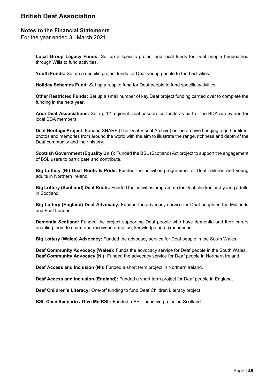### **Notes to the Financial Statements**

For the year ended 31 March 2021

**Local Group Legacy Funds:** Set up a specific project and local funds for Deaf people bequeathed through Wills to fund activities.

**Youth Funds:** Set up a specific project funds for Deaf young people to fund activities.

**Holiday Schemes Fund:** Set up a respite fund for Deaf people to fund specific activities.

**Other Restricted Funds:** Set up a small number of key Deaf project funding carried over to complete the funding in the next year.

**Area Deaf Associations:** Set up 12 regional Deaf association funds as part of the BDA run by and for local BDA members.

**Deaf Heritage Project:** Funded SHARE (The Deaf Visual Archive) online archive bringing together films, photos and memories from around the world with the aim to illustrate the range, richness and depth of the Deaf community and their history.

**Scottish Government (Equality Unit):** Funded the BSL (Scotland) Act project to support the engagement of BSL users to participate and contribute.

**Big Lottery (NI) Deaf Roots & Pride:** Funded the activities programme for Deaf children and young adults in Northern Ireland.

**Big Lottery (Scotland) Deaf Roots:** Funded the activities programme for Deaf children and young adults in Scotland.

**Big Lottery (England) Deaf Advocacy:** Funded the advocacy service for Deaf people in the Midlands and East London.

**Dementia Scotland:** Funded the project supporting Deaf people who have dementia and their carers enabling them to share and receive information, knowledge and experiences.

**Big Lottery (Wales) Advocacy:** Funded the advocacy service for Deaf people in the South Wales.

**Deaf Community Advocacy (Wales):** Funds the advocacy service for Deaf people in the South Wales. **Deaf Community Advocacy (NI):** Funded the advocacy service for Deaf people in Northern Ireland.

**Deaf Access and Inclusion (NI):** Funded a short term project in Northern Ireland.

**Deaf Access and Inclusion (England):** Funded a short term project for Deaf people in England.

**Deaf Children's Literacy:** One-off funding to fund Deaf Children Literacy project

**BSL Case Scenario / Give Me BSL:** Funded a BSL incentive project in Scotland.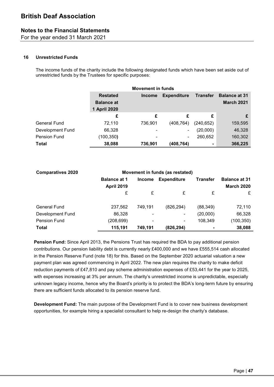### **Notes to the Financial Statements**

For the year ended 31 March 2021

#### **16 Unrestricted Funds**

The income funds of the charity include the following designated funds which have been set aside out of unrestricted funds by the Trustees for specific purposes:

|                  | <b>Movement in funds</b> |               |                    |                 |                      |  |  |
|------------------|--------------------------|---------------|--------------------|-----------------|----------------------|--|--|
|                  | <b>Restated</b>          | <b>Income</b> | <b>Expenditure</b> | <b>Transfer</b> | <b>Balance at 31</b> |  |  |
|                  | <b>Balance at</b>        |               |                    |                 | <b>March 2021</b>    |  |  |
|                  | 1 April 2020             |               |                    |                 |                      |  |  |
|                  | £                        | £             | £                  | £               | £                    |  |  |
| General Fund     | 72,110                   | 736,901       | (408,764)          | (240, 652)      | 159,595              |  |  |
| Development Fund | 66,328                   |               | -                  | (20,000)        | 46,328               |  |  |
| Pension Fund     | (100, 350)               |               | $\blacksquare$     | 260,652         | 160,302              |  |  |
| Total            | 38,088                   | 736,901       | (408, 764)         | ٠               | 366,225              |  |  |

| <b>Comparatives 2020</b> |                                          | Movement in funds (as restated) |                          |           |                                           |
|--------------------------|------------------------------------------|---------------------------------|--------------------------|-----------|-------------------------------------------|
|                          | <b>Balance at 1</b><br><b>April 2019</b> | <b>Income</b>                   | <b>Expenditure</b>       | Transfer  | <b>Balance at 31</b><br><b>March 2020</b> |
|                          | £                                        | £                               | £                        | £         | £                                         |
| General Fund             | 237,562                                  | 749,191                         | (826, 294)               | (88, 349) | 72,110                                    |
| Development Fund         | 86,328                                   |                                 | $\blacksquare$           | (20,000)  | 66,328                                    |
| <b>Pension Fund</b>      | (208, 699)                               | $\overline{\phantom{0}}$        | $\overline{\phantom{a}}$ | 108,349   | (100, 350)                                |
| Total                    | 115,191                                  | 749,191                         | (826,294)                |           | 38,088                                    |

**Pension Fund:** Since April 2013, the Pensions Trust has required the BDA to pay additional pension contributions. Our pension liability debt is currently nearly £400,000 and we have £555,514 cash allocated in the Pension Reserve Fund (note 18) for this. Based on the September 2020 actuarial valuation a new payment plan was agreed commencing in April 2022. The new plan requires the charity to make deficit reduction payments of £47,810 and pay scheme administration expenses of £53,441 for the year to 2025, with expenses increasing at 3% per annum. The charity's unrestricted income is unpredictable, especially unknown legacy income, hence why the Board's priority is to protect the BDA's long-term future by ensuring there are sufficient funds allocated to its pension reserve fund.

**Development Fund:** The main purpose of the Development Fund is to cover new business development opportunities, for example hiring a specialist consultant to help re-design the charity's database.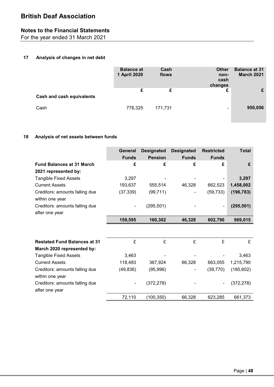### **Notes to the Financial Statements**

For the year ended 31 March 2021

#### **17 Analysis of changes in net debt**

|                                  | <b>Balance at</b><br>1 April 2020 | Cash<br>flows | <b>Other</b><br>non-<br>cash<br>changes | <b>Balance at 31</b><br><b>March 2021</b> |
|----------------------------------|-----------------------------------|---------------|-----------------------------------------|-------------------------------------------|
| <b>Cash and cash equivalents</b> | £                                 | £             | £                                       | £                                         |
| Cash                             | 778,325                           | 171,731       | $\overline{\phantom{0}}$                | 950,056                                   |

#### **18 Analysis of net assets between funds**

|                                                   | General<br><b>Funds</b> | <b>Designated</b><br><b>Pension</b> | <b>Designated</b><br><b>Funds</b> | <b>Restricted</b><br><b>Funds</b> | <b>Total</b> |
|---------------------------------------------------|-------------------------|-------------------------------------|-----------------------------------|-----------------------------------|--------------|
| <b>Fund Balances at 31 March</b>                  | £                       | £                                   | £                                 | £                                 | £            |
| 2021 represented by:                              |                         |                                     |                                   |                                   |              |
| <b>Tangible Fixed Assets</b>                      | 3,297                   |                                     |                                   |                                   | 3,297        |
| <b>Current Assets</b>                             | 193,637                 | 555,514                             | 46,328                            | 662,523                           | 1,458,002    |
| Creditors: amounts falling due<br>within one year | (37, 339)               | (99, 711)                           |                                   | (59, 733)                         | (196, 783)   |
| Creditors: amounts falling due<br>after one year  |                         | (295, 501)                          |                                   |                                   | (295, 501)   |
|                                                   | 159,595                 | 160,302                             | 46,328                            | 602,790                           | 969,015      |
| <b>Restated Fund Balances at 31</b>               | £                       | £                                   | £                                 | £                                 | £            |
| March 2020 represented by:                        |                         |                                     |                                   |                                   |              |
| <b>Tangible Fixed Assets</b>                      | 3,463                   |                                     |                                   |                                   | 3,463        |
| <b>Current Assets</b>                             | 118,483                 | 367,924                             | 66,328                            | 663,055                           | 1,215,790    |
| Creditors: amounts falling due<br>within one year | (49, 836)               | (95, 996)                           |                                   | (39, 770)                         | (185, 602)   |
| Creditors: amounts falling due<br>after one year  |                         | (372, 278)                          |                                   |                                   | (372, 278)   |
|                                                   | 72,110                  | (100, 350)                          | 66,328                            | 623,285                           | 661,373      |